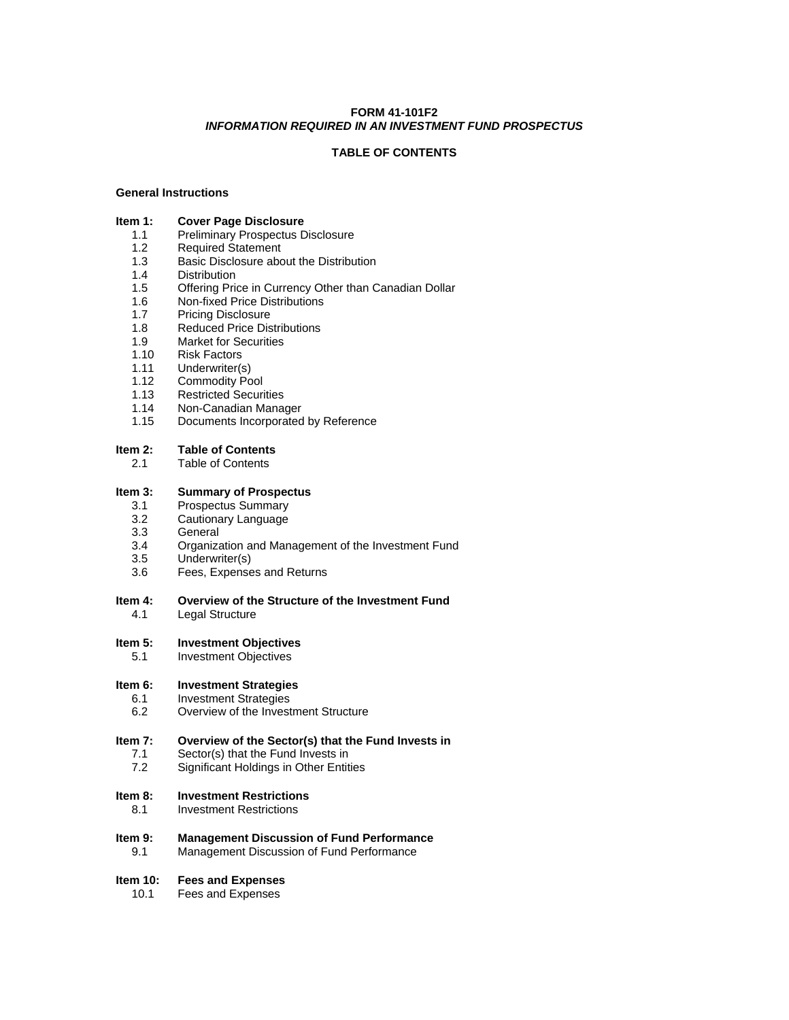# **FORM 41-101F2**  *INFORMATION REQUIRED IN AN INVESTMENT FUND PROSPECTUS*

# **TABLE OF CONTENTS**

### **General Instructions**

## **Item 1: Cover Page Disclosure**

- 1.1 Preliminary Prospectus Disclosure
- 1.2 Required Statement
- 1.3 Basic Disclosure about the Distribution
- 1.4 Distribution
- 1.5 Offering Price in Currency Other than Canadian Dollar
- 1.6 Non-fixed Price Distributions
- 1.7 Pricing Disclosure
- 1.8 Reduced Price Distributions
- 1.9 Market for Securities
- 1.10 Risk Factors
- 1.11 Underwriter(s)<br>1.12 Commodity Po
- Commodity Pool
- 1.13 Restricted Securities
- 1.14 Non-Canadian Manager
- 1.15 Documents Incorporated by Reference

# **Item 2: Table of Contents**

2.1 Table of Contents

## **Item 3: Summary of Prospectus**

- 3.1 Prospectus Summary
- 3.2 Cautionary Language<br>3.3 General
- 3.3 General<br>3.4 Organiza
- 3.4 Organization and Management of the Investment Fund<br>3.5 Underwriter(s)
- 3.5 Underwriter(s)<br>3.6 Fees, Expense
- Fees, Expenses and Returns

#### **Item 4: Overview of the Structure of the Investment Fund**

4.1 Legal Structure

#### **Item 5: Investment Objectives**

5.1 Investment Objectives

# **Item 6: Investment Strategies**

- 6.1 Investment Strategies<br>6.2 Overview of the Invest
- Overview of the Investment Structure

# **Item 7: Overview of the Sector(s) that the Fund Invests in**

- 7.1 Sector(s) that the Fund Invests in<br>7.2 Significant Holdings in Other Entit
- Significant Holdings in Other Entities

## **Item 8: Investment Restrictions**

- 8.1 Investment Restrictions
- **Item 9: Management Discussion of Fund Performance**
	- Management Discussion of Fund Performance

#### **Item 10: Fees and Expenses**

10.1 Fees and Expenses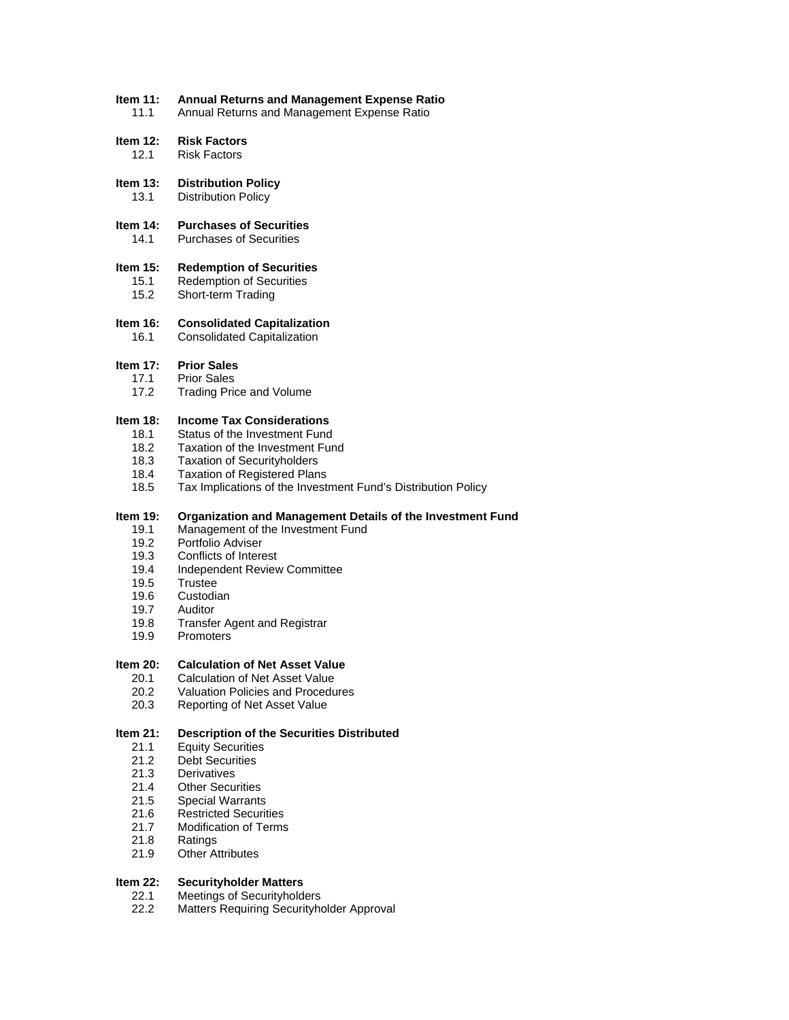# **Item 11: Annual Returns and Management Expense Ratio**

Annual Returns and Management Expense Ratio

# **Item 12: Risk Factors**

12.1 Risk Factors

# **Item 13: Distribution Policy**

13.1 Distribution Policy

# **Item 14: Purchases of Securities**

14.1 Purchases of Securities

## **Item 15: Redemption of Securities**

- 15.1 Redemption of Securities
- 15.2 Short-term Trading

## **Item 16: Consolidated Capitalization**

16.1 Consolidated Capitalization

## **Item 17: Prior Sales**

- 
- 17.1 Prior Sales<br>17.2 Trading Prior **Trading Price and Volume**

## **Item 18: Income Tax Considerations**

- 18.1 Status of the Investment Fund
- 18.2 Taxation of the Investment Fund<br>18.3 Taxation of Securityholders
- 18.3 Taxation of Securityholders<br>18.4 Taxation of Registered Plan
- 18.4 Taxation of Registered Plans<br>18.5 Tax Implications of the Invest
- Tax Implications of the Investment Fund's Distribution Policy

# **Item 19: Organization and Management Details of the Investment Fund**

- 19.1 Management of the Investment Fund
- 19.2 Portfolio Adviser<br>19.3 Conflicts of Intere
- Conflicts of Interest
- 19.4 Independent Review Committee
- 19.5 Trustee
- 19.6 Custodian
- 19.7 Auditor<br>19.8 Transfe
- 19.8 Transfer Agent and Registrar<br>19.9 Promoters
- Promoters

# **Item 20: Calculation of Net Asset Value**

- 20.1 Calculation of Net Asset Value
- 20.2 Valuation Policies and Procedures<br>20.3 Reporting of Net Asset Value
- Reporting of Net Asset Value

# **Item 21: Description of the Securities Distributed**

- 21.1 Equity Securities<br>21.2 Debt Securities
- 21.2 Debt Securities<br>21.3 Derivatives
- 21.3 Derivatives<br>21.4 Other Secu
- 21.4 Other Securities<br>21.5 Special Warrants
- 21.5 Special Warrants<br>21.6 Restricted Securit
- **Restricted Securities**
- 21.7 Modification of Terms
- 21.8 Ratings
- 21.9 Other Attributes

# **Item 22: Securityholder Matters**

- 22.1 Meetings of Securityholders<br>22.2 Matters Requiring Securityho
- Matters Requiring Securityholder Approval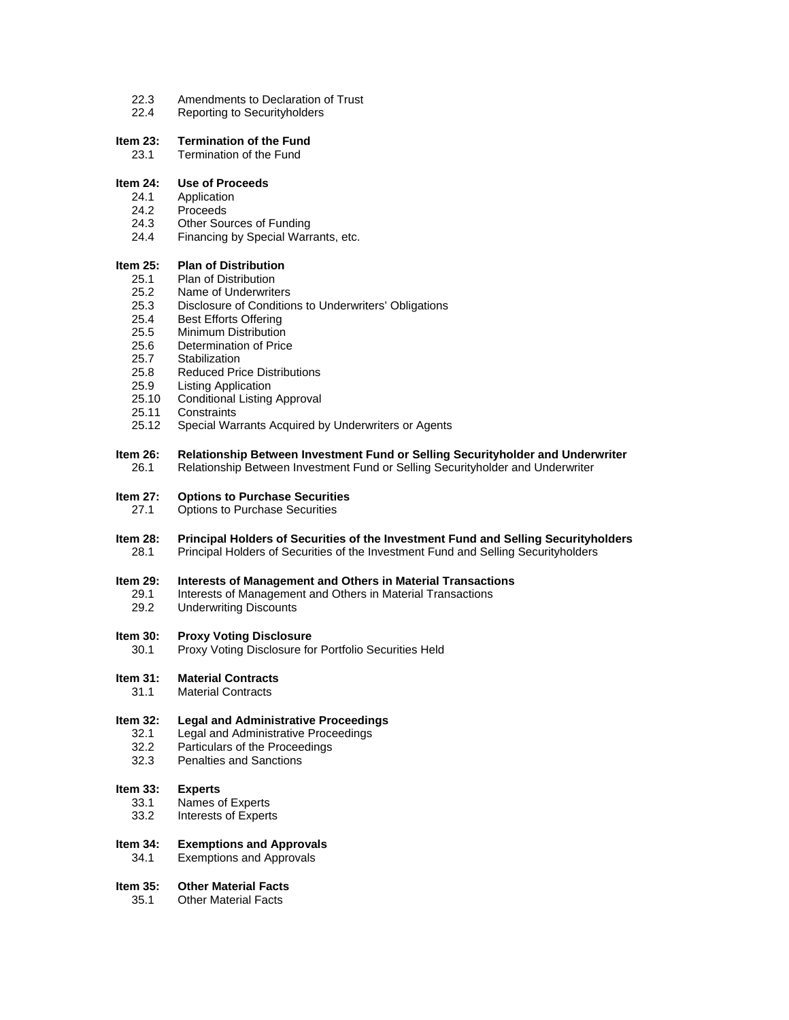- 22.3 Amendments to Declaration of Trust<br>22.4 Reporting to Securityholders
- Reporting to Securityholders

# **Item 23: Termination of the Fund**

23.1 Termination of the Fund

## **Item 24: Use of Proceeds**

- 24.1 Application
- 24.2 Proceeds
- 24.3 Other Sources of Funding
- 24.4 Financing by Special Warrants, etc.

## **Item 25: Plan of Distribution**

- 25.1 Plan of Distribution
- 25.2 Name of Underwriters
- 25.3 Disclosure of Conditions to Underwriters' Obligations
- 25.4 Best Efforts Offering<br>25.5 Minimum Distribution
- 25.5 Minimum Distribution<br>25.6 Determination of Price
- Determination of Price
- 25.7 Stabilization
- 25.8 Reduced Price Distributions
- 25.9 Listing Application<br>25.10 Conditional Listing
- **Conditional Listing Approval**
- 25.11 Constraints<br>25.12 Special War
- Special Warrants Acquired by Underwriters or Agents

#### **Item 26: Relationship Between Investment Fund or Selling Securityholder and Underwriter** Relationship Between Investment Fund or Selling Securityholder and Underwriter

#### **Item 27: Options to Purchase Securities**

27.1 Options to Purchase Securities

## **Item 28: Principal Holders of Securities of the Investment Fund and Selling Securityholders** Principal Holders of Securities of the Investment Fund and Selling Securityholders

## **Item 29: Interests of Management and Others in Material Transactions**

- 29.1 Interests of Management and Others in Material Transactions<br>29.2 Underwriting Discounts
- **Underwriting Discounts**

## **Item 30: Proxy Voting Disclosure**

30.1 Proxy Voting Disclosure for Portfolio Securities Held

# **Item 31: Material Contracts**

31.1 Material Contracts

# **Item 32: Legal and Administrative Proceedings**

- 32.1 Legal and Administrative Proceedings<br>32.2 Particulars of the Proceedings
- 32.2 Particulars of the Proceedings<br>32.3 Penalties and Sanctions
- Penalties and Sanctions

#### **Item 33: Experts**

- 33.1 Names of Experts
- 33.2 Interests of Experts

### **Item 34: Exemptions and Approvals**

34.1 Exemptions and Approvals

#### **Item 35: Other Material Facts**

35.1 Other Material Facts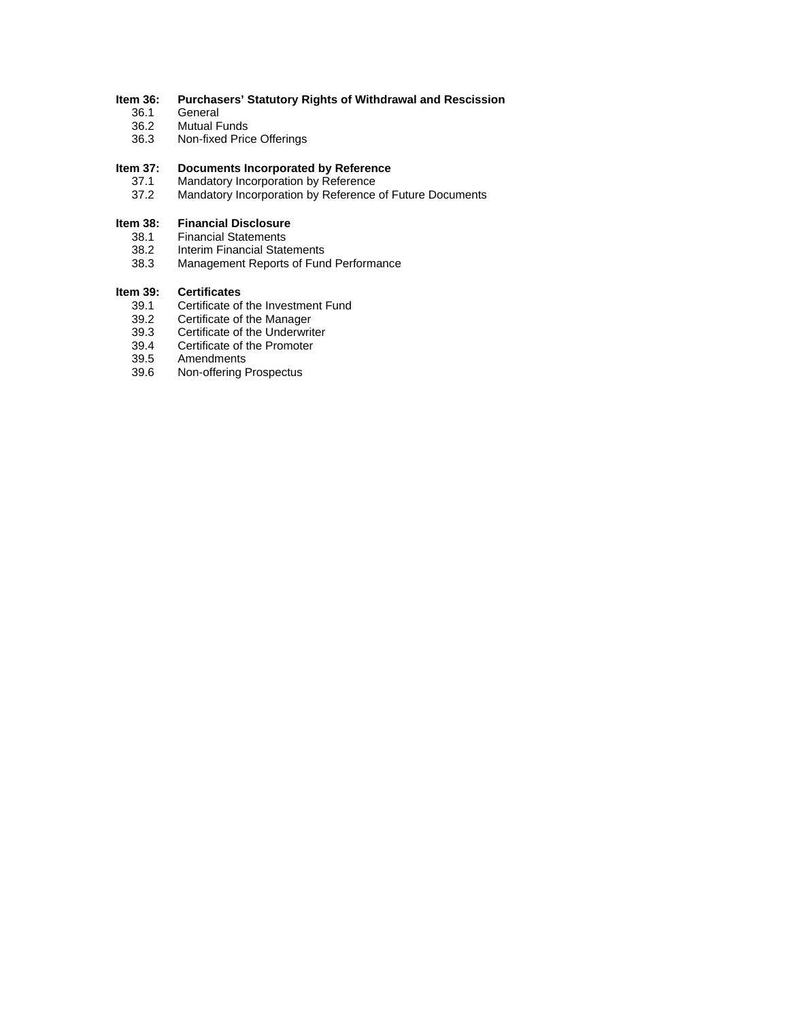# **Item 36: Purchasers' Statutory Rights of Withdrawal and Rescission**

- 36.1 General<br>36.2 Mutual F
- **Mutual Funds**
- 36.3 Non-fixed Price Offerings

# **Item 37: Documents Incorporated by Reference**

- 37.1 Mandatory Incorporation by Reference<br>37.2 Mandatory Incorporation by Reference
- Mandatory Incorporation by Reference of Future Documents

# **Item 38: Financial Disclosure**

- 38.1 Financial Statements<br>38.2 Interim Financial State
- 38.2 Interim Financial Statements<br>38.3 Management Reports of Fune
- Management Reports of Fund Performance

# **Item 39: Certificates**

- 39.1 Certificate of the Investment Fund<br>39.2 Certificate of the Manager
- 39.2 Certificate of the Manager<br>39.3 Certificate of the Underwrit
- 39.3 Certificate of the Underwriter<br>39.4 Certificate of the Promoter
- 39.4 Certificate of the Promoter
- 39.5 Amendments<br>39.6 Non-offering F
- Non-offering Prospectus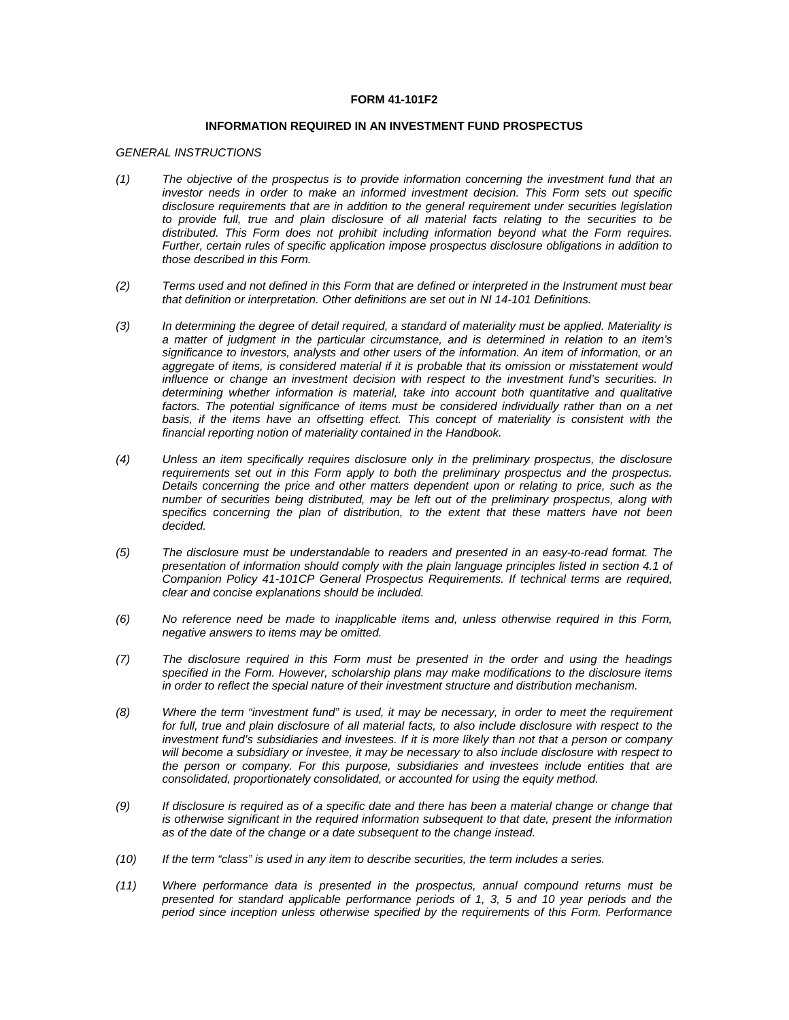## **FORM 41-101F2**

## **INFORMATION REQUIRED IN AN INVESTMENT FUND PROSPECTUS**

#### *GENERAL INSTRUCTIONS*

- *(1) The objective of the prospectus is to provide information concerning the investment fund that an investor needs in order to make an informed investment decision. This Form sets out specific disclosure requirements that are in addition to the general requirement under securities legislation*  to provide full, true and plain disclosure of all material facts relating to the securities to be *distributed. This Form does not prohibit including information beyond what the Form requires. Further, certain rules of specific application impose prospectus disclosure obligations in addition to those described in this Form.*
- *(2) Terms used and not defined in this Form that are defined or interpreted in the Instrument must bear that definition or interpretation. Other definitions are set out in NI 14-101 Definitions.*
- *(3) In determining the degree of detail required, a standard of materiality must be applied. Materiality is a matter of judgment in the particular circumstance, and is determined in relation to an item's significance to investors, analysts and other users of the information. An item of information, or an aggregate of items, is considered material if it is probable that its omission or misstatement would influence or change an investment decision with respect to the investment fund's securities. In determining whether information is material, take into account both quantitative and qualitative*  factors. The potential significance of items must be considered individually rather than on a net basis, if the items have an offsetting effect. This concept of materiality is consistent with the *financial reporting notion of materiality contained in the Handbook.*
- *(4) Unless an item specifically requires disclosure only in the preliminary prospectus, the disclosure requirements set out in this Form apply to both the preliminary prospectus and the prospectus. Details concerning the price and other matters dependent upon or relating to price, such as the number of securities being distributed, may be left out of the preliminary prospectus, along with specifics concerning the plan of distribution, to the extent that these matters have not been decided.*
- *(5) The disclosure must be understandable to readers and presented in an easy-to-read format. The presentation of information should comply with the plain language principles listed in section 4.1 of Companion Policy 41-101CP General Prospectus Requirements. If technical terms are required, clear and concise explanations should be included.*
- *(6) No reference need be made to inapplicable items and, unless otherwise required in this Form, negative answers to items may be omitted.*
- *(7) The disclosure required in this Form must be presented in the order and using the headings specified in the Form. However, scholarship plans may make modifications to the disclosure items in order to reflect the special nature of their investment structure and distribution mechanism.*
- *(8) Where the term "investment fund" is used, it may be necessary, in order to meet the requirement for full, true and plain disclosure of all material facts, to also include disclosure with respect to the investment fund's subsidiaries and investees. If it is more likely than not that a person or company will become a subsidiary or investee, it may be necessary to also include disclosure with respect to the person or company. For this purpose, subsidiaries and investees include entities that are consolidated, proportionately consolidated, or accounted for using the equity method.*
- *(9) If disclosure is required as of a specific date and there has been a material change or change that is otherwise significant in the required information subsequent to that date, present the information as of the date of the change or a date subsequent to the change instead.*
- *(10) If the term "class" is used in any item to describe securities, the term includes a series.*
- *(11) Where performance data is presented in the prospectus, annual compound returns must be presented for standard applicable performance periods of 1, 3, 5 and 10 year periods and the period since inception unless otherwise specified by the requirements of this Form. Performance*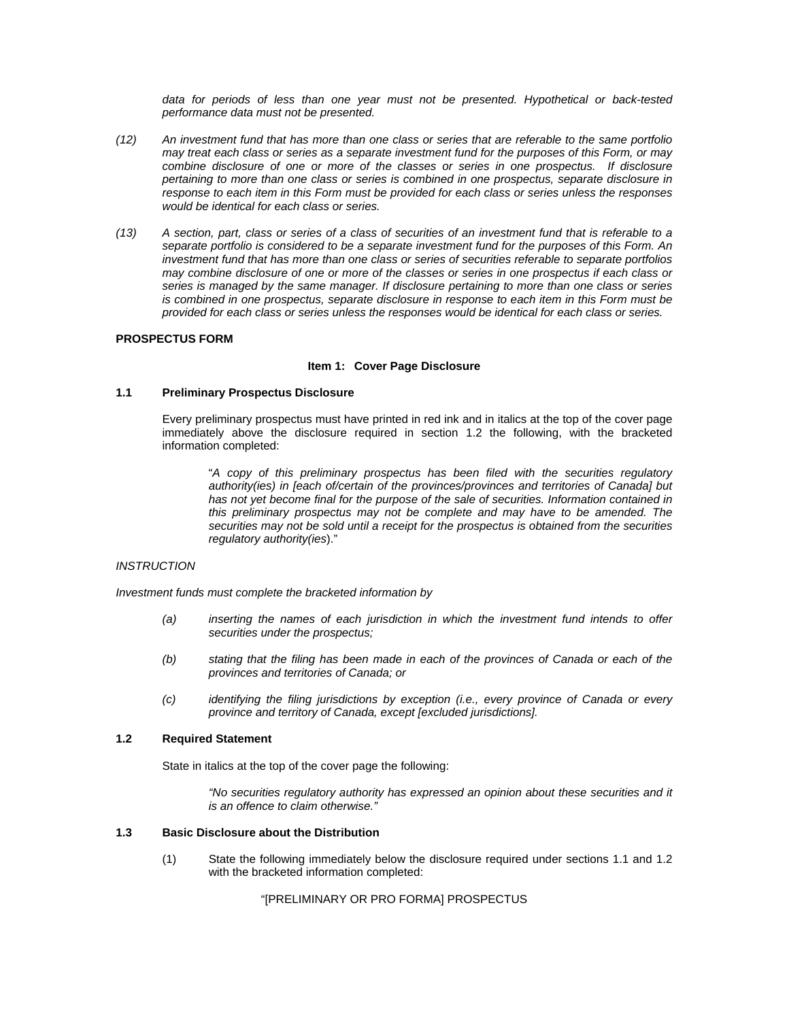*data for periods of less than one year must not be presented. Hypothetical or back-tested performance data must not be presented.* 

- *(12) An investment fund that has more than one class or series that are referable to the same portfolio may treat each class or series as a separate investment fund for the purposes of this Form, or may combine disclosure of one or more of the classes or series in one prospectus. If disclosure pertaining to more than one class or series is combined in one prospectus, separate disclosure in response to each item in this Form must be provided for each class or series unless the responses would be identical for each class or series.*
- *(13) A section, part, class or series of a class of securities of an investment fund that is referable to a separate portfolio is considered to be a separate investment fund for the purposes of this Form. An investment fund that has more than one class or series of securities referable to separate portfolios may combine disclosure of one or more of the classes or series in one prospectus if each class or series is managed by the same manager. If disclosure pertaining to more than one class or series is combined in one prospectus, separate disclosure in response to each item in this Form must be provided for each class or series unless the responses would be identical for each class or series.*

## **PROSPECTUS FORM**

#### **Item 1: Cover Page Disclosure**

## **1.1 Preliminary Prospectus Disclosure**

 Every preliminary prospectus must have printed in red ink and in italics at the top of the cover page immediately above the disclosure required in section 1.2 the following, with the bracketed information completed:

"*A copy of this preliminary prospectus has been filed with the securities regulatory authority(ies) in [each of/certain of the provinces/provinces and territories of Canada] but has not yet become final for the purpose of the sale of securities. Information contained in this preliminary prospectus may not be complete and may have to be amended. The securities may not be sold until a receipt for the prospectus is obtained from the securities regulatory authority(ies*)."

## *INSTRUCTION*

*Investment funds must complete the bracketed information by* 

- *(a) inserting the names of each jurisdiction in which the investment fund intends to offer securities under the prospectus;*
- *(b) stating that the filing has been made in each of the provinces of Canada or each of the provinces and territories of Canada; or*
- *(c) identifying the filing jurisdictions by exception (i.e., every province of Canada or every province and territory of Canada, except [excluded jurisdictions].*

# **1.2 Required Statement**

State in italics at the top of the cover page the following:

*"No securities regulatory authority has expressed an opinion about these securities and it is an offence to claim otherwise."* 

#### **1.3 Basic Disclosure about the Distribution**

(1) State the following immediately below the disclosure required under sections 1.1 and 1.2 with the bracketed information completed:

"[PRELIMINARY OR PRO FORMA] PROSPECTUS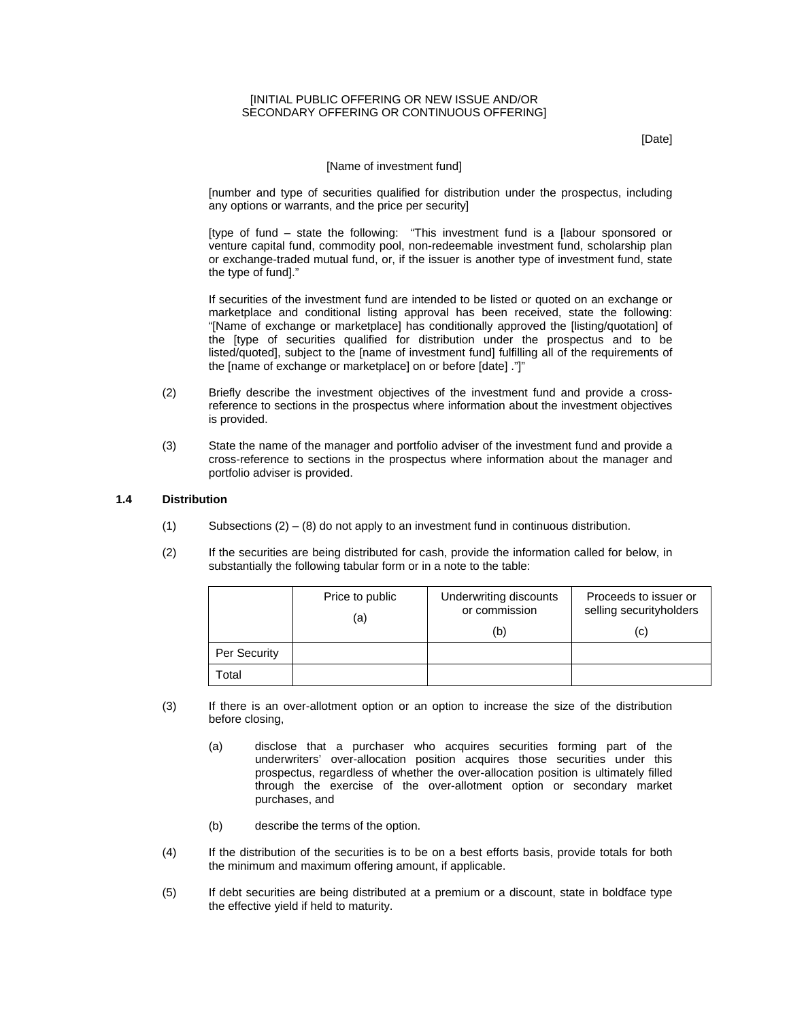## [INITIAL PUBLIC OFFERING OR NEW ISSUE AND/OR SECONDARY OFFERING OR CONTINUOUS OFFERING]

[Date]

#### [Name of investment fund]

[number and type of securities qualified for distribution under the prospectus, including any options or warrants, and the price per security]

[type of fund – state the following: "This investment fund is a [labour sponsored or venture capital fund, commodity pool, non-redeemable investment fund, scholarship plan or exchange-traded mutual fund, or, if the issuer is another type of investment fund, state the type of fund]."

If securities of the investment fund are intended to be listed or quoted on an exchange or marketplace and conditional listing approval has been received, state the following: "[Name of exchange or marketplace] has conditionally approved the [listing/quotation] of the [type of securities qualified for distribution under the prospectus and to be listed/quoted], subject to the [name of investment fund] fulfilling all of the requirements of the [name of exchange or marketplace] on or before [date] ."]"

- (2) Briefly describe the investment objectives of the investment fund and provide a crossreference to sections in the prospectus where information about the investment objectives is provided.
- (3) State the name of the manager and portfolio adviser of the investment fund and provide a cross-reference to sections in the prospectus where information about the manager and portfolio adviser is provided.

#### **1.4 Distribution**

- (1) Subsections (2) (8) do not apply to an investment fund in continuous distribution.
- (2) If the securities are being distributed for cash, provide the information called for below, in substantially the following tabular form or in a note to the table:

|              | Price to public<br>(a) | Underwriting discounts<br>or commission<br>(b) | Proceeds to issuer or<br>selling securityholders<br>(C) |
|--------------|------------------------|------------------------------------------------|---------------------------------------------------------|
| Per Security |                        |                                                |                                                         |
| Total        |                        |                                                |                                                         |

- (3) If there is an over-allotment option or an option to increase the size of the distribution before closing,
	- (a) disclose that a purchaser who acquires securities forming part of the underwriters' over-allocation position acquires those securities under this prospectus, regardless of whether the over-allocation position is ultimately filled through the exercise of the over-allotment option or secondary market purchases, and
	- (b) describe the terms of the option.
- (4) If the distribution of the securities is to be on a best efforts basis, provide totals for both the minimum and maximum offering amount, if applicable.
- (5) If debt securities are being distributed at a premium or a discount, state in boldface type the effective yield if held to maturity.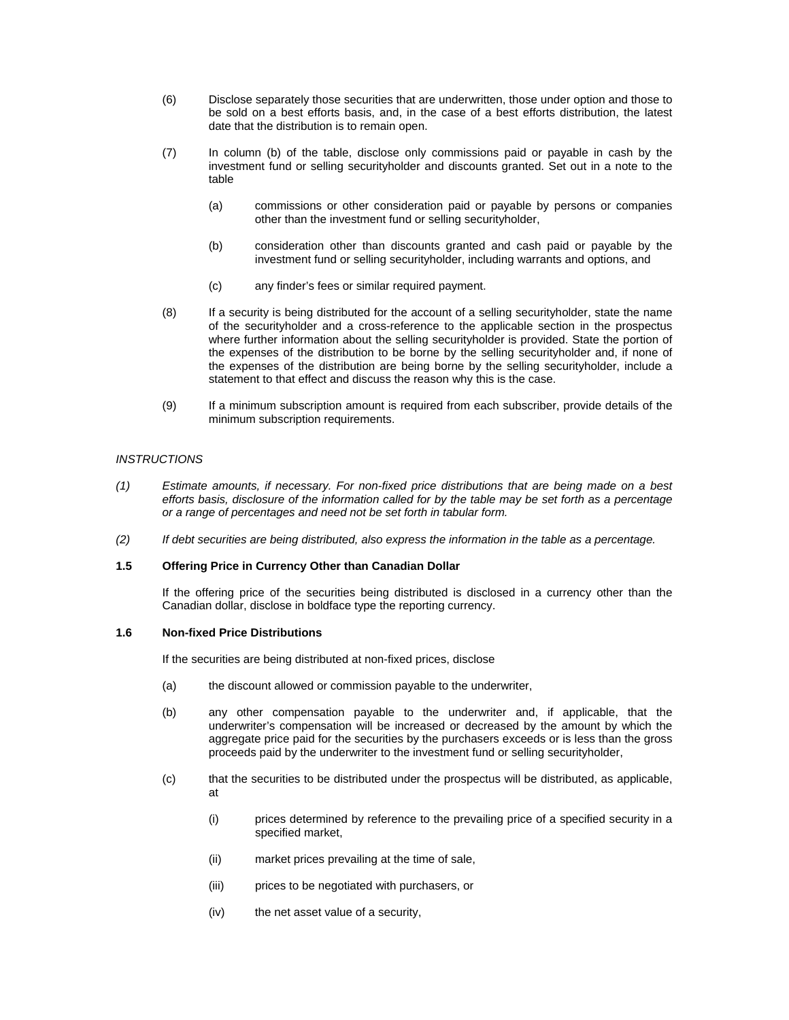- (6) Disclose separately those securities that are underwritten, those under option and those to be sold on a best efforts basis, and, in the case of a best efforts distribution, the latest date that the distribution is to remain open.
- (7) In column (b) of the table, disclose only commissions paid or payable in cash by the investment fund or selling securityholder and discounts granted. Set out in a note to the table
	- (a) commissions or other consideration paid or payable by persons or companies other than the investment fund or selling securityholder,
	- (b) consideration other than discounts granted and cash paid or payable by the investment fund or selling securityholder, including warrants and options, and
	- (c) any finder's fees or similar required payment.
- (8) If a security is being distributed for the account of a selling securityholder, state the name of the securityholder and a cross-reference to the applicable section in the prospectus where further information about the selling securityholder is provided. State the portion of the expenses of the distribution to be borne by the selling securityholder and, if none of the expenses of the distribution are being borne by the selling securityholder, include a statement to that effect and discuss the reason why this is the case.
- (9) If a minimum subscription amount is required from each subscriber, provide details of the minimum subscription requirements.

## *INSTRUCTIONS*

- *(1) Estimate amounts, if necessary. For non-fixed price distributions that are being made on a best efforts basis, disclosure of the information called for by the table may be set forth as a percentage or a range of percentages and need not be set forth in tabular form.*
- *(2) If debt securities are being distributed, also express the information in the table as a percentage.*

## **1.5 Offering Price in Currency Other than Canadian Dollar**

If the offering price of the securities being distributed is disclosed in a currency other than the Canadian dollar, disclose in boldface type the reporting currency.

#### **1.6 Non-fixed Price Distributions**

If the securities are being distributed at non-fixed prices, disclose

- (a) the discount allowed or commission payable to the underwriter,
- (b) any other compensation payable to the underwriter and, if applicable, that the underwriter's compensation will be increased or decreased by the amount by which the aggregate price paid for the securities by the purchasers exceeds or is less than the gross proceeds paid by the underwriter to the investment fund or selling securityholder,
- (c) that the securities to be distributed under the prospectus will be distributed, as applicable, at
	- (i) prices determined by reference to the prevailing price of a specified security in a specified market,
	- (ii) market prices prevailing at the time of sale,
	- (iii) prices to be negotiated with purchasers, or
	- (iv) the net asset value of a security,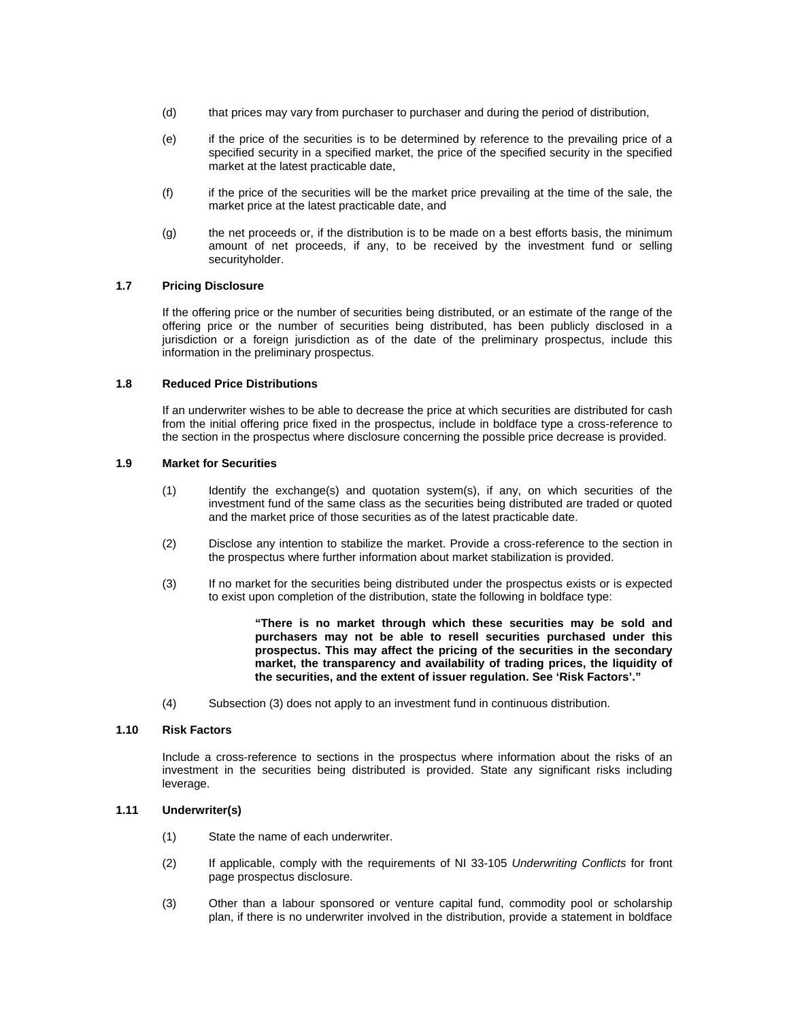- (d) that prices may vary from purchaser to purchaser and during the period of distribution,
- (e) if the price of the securities is to be determined by reference to the prevailing price of a specified security in a specified market, the price of the specified security in the specified market at the latest practicable date,
- (f) if the price of the securities will be the market price prevailing at the time of the sale, the market price at the latest practicable date, and
- (g) the net proceeds or, if the distribution is to be made on a best efforts basis, the minimum amount of net proceeds, if any, to be received by the investment fund or selling securityholder.

## **1.7 Pricing Disclosure**

If the offering price or the number of securities being distributed, or an estimate of the range of the offering price or the number of securities being distributed, has been publicly disclosed in a jurisdiction or a foreign jurisdiction as of the date of the preliminary prospectus, include this information in the preliminary prospectus.

# **1.8 Reduced Price Distributions**

 If an underwriter wishes to be able to decrease the price at which securities are distributed for cash from the initial offering price fixed in the prospectus, include in boldface type a cross-reference to the section in the prospectus where disclosure concerning the possible price decrease is provided.

## **1.9 Market for Securities**

- (1) Identify the exchange(s) and quotation system(s), if any, on which securities of the investment fund of the same class as the securities being distributed are traded or quoted and the market price of those securities as of the latest practicable date.
- (2) Disclose any intention to stabilize the market. Provide a cross-reference to the section in the prospectus where further information about market stabilization is provided.
- (3) If no market for the securities being distributed under the prospectus exists or is expected to exist upon completion of the distribution, state the following in boldface type:

**"There is no market through which these securities may be sold and purchasers may not be able to resell securities purchased under this prospectus. This may affect the pricing of the securities in the secondary market, the transparency and availability of trading prices, the liquidity of the securities, and the extent of issuer regulation. See 'Risk Factors'."** 

(4) Subsection (3) does not apply to an investment fund in continuous distribution.

# **1.10 Risk Factors**

Include a cross-reference to sections in the prospectus where information about the risks of an investment in the securities being distributed is provided. State any significant risks including leverage.

# **1.11 Underwriter(s)**

- (1) State the name of each underwriter.
- (2) If applicable, comply with the requirements of NI 33-105 *Underwriting Conflicts* for front page prospectus disclosure.
- (3) Other than a labour sponsored or venture capital fund, commodity pool or scholarship plan, if there is no underwriter involved in the distribution, provide a statement in boldface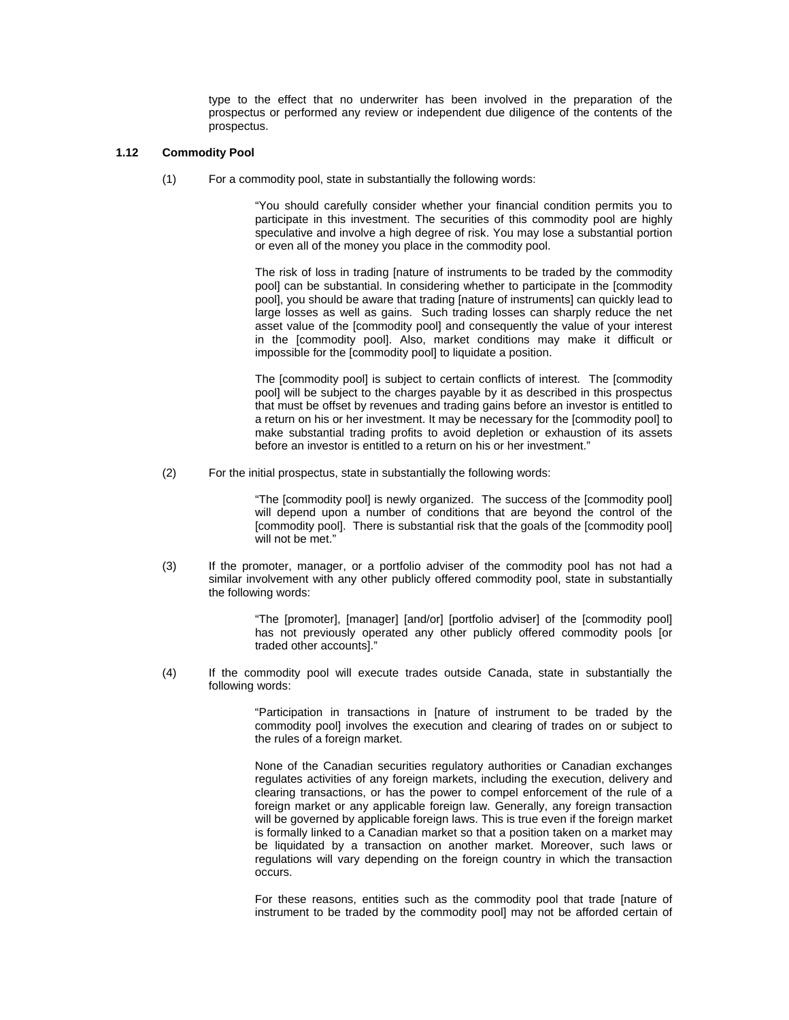type to the effect that no underwriter has been involved in the preparation of the prospectus or performed any review or independent due diligence of the contents of the prospectus.

## **1.12 Commodity Pool**

(1) For a commodity pool, state in substantially the following words:

"You should carefully consider whether your financial condition permits you to participate in this investment. The securities of this commodity pool are highly speculative and involve a high degree of risk. You may lose a substantial portion or even all of the money you place in the commodity pool.

The risk of loss in trading [nature of instruments to be traded by the commodity pool] can be substantial. In considering whether to participate in the [commodity pool], you should be aware that trading [nature of instruments] can quickly lead to large losses as well as gains. Such trading losses can sharply reduce the net asset value of the [commodity pool] and consequently the value of your interest in the [commodity pool]. Also, market conditions may make it difficult or impossible for the [commodity pool] to liquidate a position.

The [commodity pool] is subject to certain conflicts of interest. The [commodity pool] will be subject to the charges payable by it as described in this prospectus that must be offset by revenues and trading gains before an investor is entitled to a return on his or her investment. It may be necessary for the [commodity pool] to make substantial trading profits to avoid depletion or exhaustion of its assets before an investor is entitled to a return on his or her investment."

(2) For the initial prospectus, state in substantially the following words:

"The [commodity pool] is newly organized. The success of the [commodity pool] will depend upon a number of conditions that are beyond the control of the [commodity pool]. There is substantial risk that the goals of the [commodity pool] will not be met."

(3) If the promoter, manager, or a portfolio adviser of the commodity pool has not had a similar involvement with any other publicly offered commodity pool, state in substantially the following words:

> "The [promoter], [manager] [and/or] [portfolio adviser] of the [commodity pool] has not previously operated any other publicly offered commodity pools [or traded other accounts]."

(4) If the commodity pool will execute trades outside Canada, state in substantially the following words:

> "Participation in transactions in [nature of instrument to be traded by the commodity pool] involves the execution and clearing of trades on or subject to the rules of a foreign market.

> None of the Canadian securities regulatory authorities or Canadian exchanges regulates activities of any foreign markets, including the execution, delivery and clearing transactions, or has the power to compel enforcement of the rule of a foreign market or any applicable foreign law. Generally, any foreign transaction will be governed by applicable foreign laws. This is true even if the foreign market is formally linked to a Canadian market so that a position taken on a market may be liquidated by a transaction on another market. Moreover, such laws or regulations will vary depending on the foreign country in which the transaction occurs.

> For these reasons, entities such as the commodity pool that trade [nature of instrument to be traded by the commodity pool] may not be afforded certain of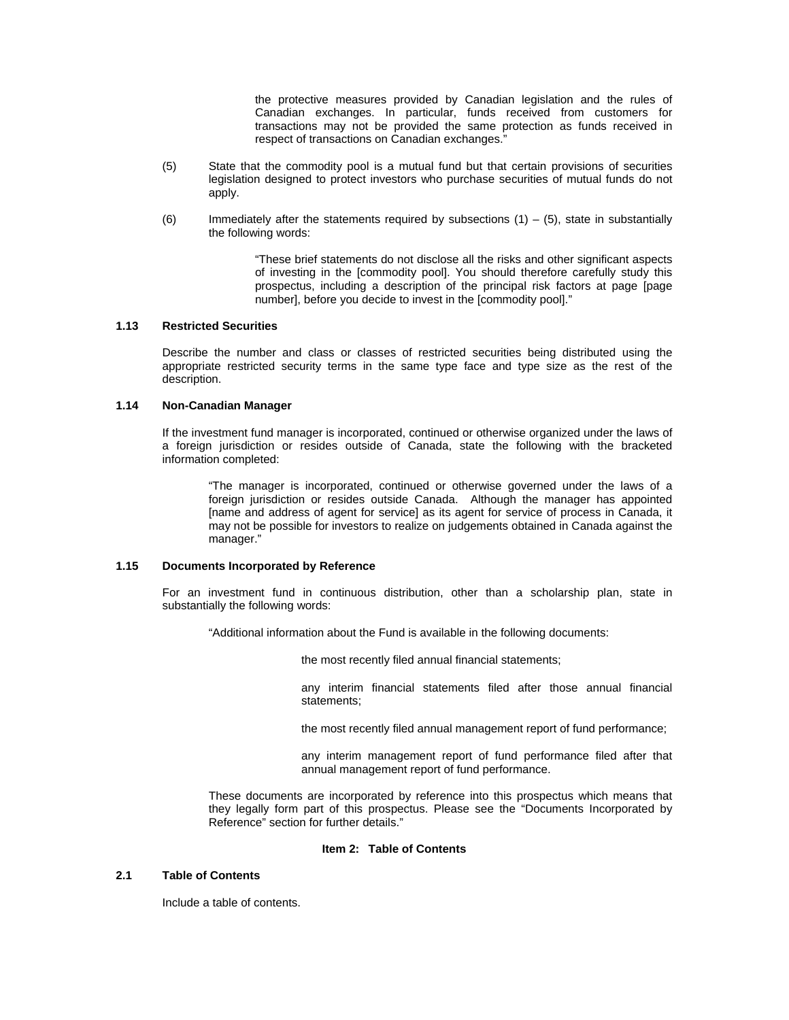the protective measures provided by Canadian legislation and the rules of Canadian exchanges. In particular, funds received from customers for transactions may not be provided the same protection as funds received in respect of transactions on Canadian exchanges."

- (5) State that the commodity pool is a mutual fund but that certain provisions of securities legislation designed to protect investors who purchase securities of mutual funds do not apply.
- (6) Immediately after the statements required by subsections  $(1) (5)$ , state in substantially the following words:

"These brief statements do not disclose all the risks and other significant aspects of investing in the [commodity pool]. You should therefore carefully study this prospectus, including a description of the principal risk factors at page [page number], before you decide to invest in the [commodity pool]."

## **1.13 Restricted Securities**

Describe the number and class or classes of restricted securities being distributed using the appropriate restricted security terms in the same type face and type size as the rest of the description.

## **1.14 Non-Canadian Manager**

 If the investment fund manager is incorporated, continued or otherwise organized under the laws of a foreign jurisdiction or resides outside of Canada, state the following with the bracketed information completed:

"The manager is incorporated, continued or otherwise governed under the laws of a foreign jurisdiction or resides outside Canada. Although the manager has appointed [name and address of agent for service] as its agent for service of process in Canada, it may not be possible for investors to realize on judgements obtained in Canada against the manager."

# **1.15 Documents Incorporated by Reference**

 For an investment fund in continuous distribution, other than a scholarship plan, state in substantially the following words:

"Additional information about the Fund is available in the following documents:

the most recently filed annual financial statements;

 any interim financial statements filed after those annual financial statements;

the most recently filed annual management report of fund performance;

 any interim management report of fund performance filed after that annual management report of fund performance.

These documents are incorporated by reference into this prospectus which means that they legally form part of this prospectus. Please see the "Documents Incorporated by Reference" section for further details."

# **Item 2: Table of Contents**

# **2.1 Table of Contents**

Include a table of contents.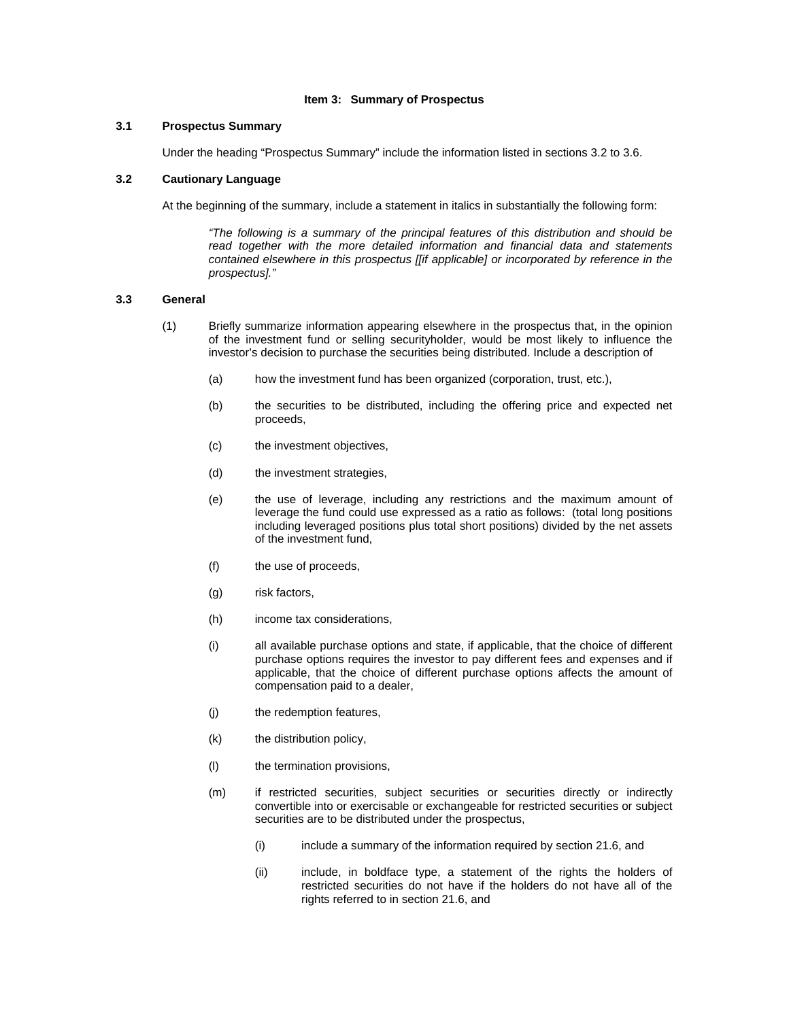## **Item 3: Summary of Prospectus**

## **3.1 Prospectus Summary**

Under the heading "Prospectus Summary" include the information listed in sections 3.2 to 3.6.

## **3.2 Cautionary Language**

At the beginning of the summary, include a statement in italics in substantially the following form:

*"The following is a summary of the principal features of this distribution and should be read together with the more detailed information and financial data and statements contained elsewhere in this prospectus [[if applicable] or incorporated by reference in the prospectus]."* 

## **3.3 General**

- (1) Briefly summarize information appearing elsewhere in the prospectus that, in the opinion of the investment fund or selling securityholder, would be most likely to influence the investor's decision to purchase the securities being distributed. Include a description of
	- (a) how the investment fund has been organized (corporation, trust, etc.),
	- (b) the securities to be distributed, including the offering price and expected net proceeds,
	- (c) the investment objectives,
	- (d) the investment strategies,
	- (e) the use of leverage, including any restrictions and the maximum amount of leverage the fund could use expressed as a ratio as follows: (total long positions including leveraged positions plus total short positions) divided by the net assets of the investment fund,
	- (f) the use of proceeds,
	- (g) risk factors,
	- (h) income tax considerations.
	- (i) all available purchase options and state, if applicable, that the choice of different purchase options requires the investor to pay different fees and expenses and if applicable, that the choice of different purchase options affects the amount of compensation paid to a dealer,
	- (j) the redemption features,
	- (k) the distribution policy,
	- (l) the termination provisions,
	- (m) if restricted securities, subject securities or securities directly or indirectly convertible into or exercisable or exchangeable for restricted securities or subject securities are to be distributed under the prospectus,
		- (i) include a summary of the information required by section 21.6, and
		- (ii) include, in boldface type, a statement of the rights the holders of restricted securities do not have if the holders do not have all of the rights referred to in section 21.6, and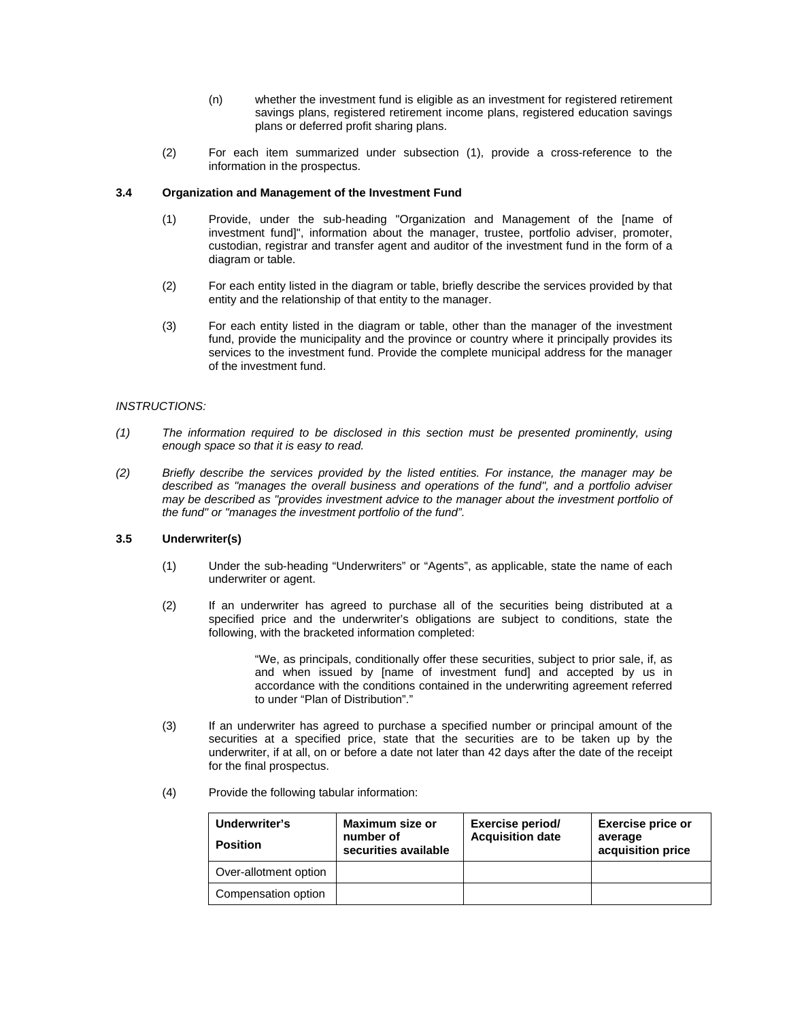- (n) whether the investment fund is eligible as an investment for registered retirement savings plans, registered retirement income plans, registered education savings plans or deferred profit sharing plans.
- (2) For each item summarized under subsection (1), provide a cross-reference to the information in the prospectus.

## **3.4 Organization and Management of the Investment Fund**

- (1) Provide, under the sub-heading "Organization and Management of the [name of investment fund]", information about the manager, trustee, portfolio adviser, promoter, custodian, registrar and transfer agent and auditor of the investment fund in the form of a diagram or table.
- (2) For each entity listed in the diagram or table, briefly describe the services provided by that entity and the relationship of that entity to the manager.
- (3) For each entity listed in the diagram or table, other than the manager of the investment fund, provide the municipality and the province or country where it principally provides its services to the investment fund. Provide the complete municipal address for the manager of the investment fund.

# *INSTRUCTIONS:*

- *(1) The information required to be disclosed in this section must be presented prominently, using enough space so that it is easy to read.*
- *(2) Briefly describe the services provided by the listed entities. For instance, the manager may be described as "manages the overall business and operations of the fund", and a portfolio adviser may be described as "provides investment advice to the manager about the investment portfolio of the fund" or "manages the investment portfolio of the fund".*

# **3.5 Underwriter(s)**

- (1) Under the sub-heading "Underwriters" or "Agents", as applicable, state the name of each underwriter or agent.
- (2) If an underwriter has agreed to purchase all of the securities being distributed at a specified price and the underwriter's obligations are subject to conditions, state the following, with the bracketed information completed:

"We, as principals, conditionally offer these securities, subject to prior sale, if, as and when issued by [name of investment fund] and accepted by us in accordance with the conditions contained in the underwriting agreement referred to under "Plan of Distribution"."

- (3) If an underwriter has agreed to purchase a specified number or principal amount of the securities at a specified price, state that the securities are to be taken up by the underwriter, if at all, on or before a date not later than 42 days after the date of the receipt for the final prospectus.
- (4) Provide the following tabular information:

| Underwriter's<br><b>Position</b> | Maximum size or<br>number of<br>securities available | <b>Exercise period/</b><br><b>Acquisition date</b> | <b>Exercise price or</b><br>average<br>acquisition price |
|----------------------------------|------------------------------------------------------|----------------------------------------------------|----------------------------------------------------------|
| Over-allotment option            |                                                      |                                                    |                                                          |
| Compensation option              |                                                      |                                                    |                                                          |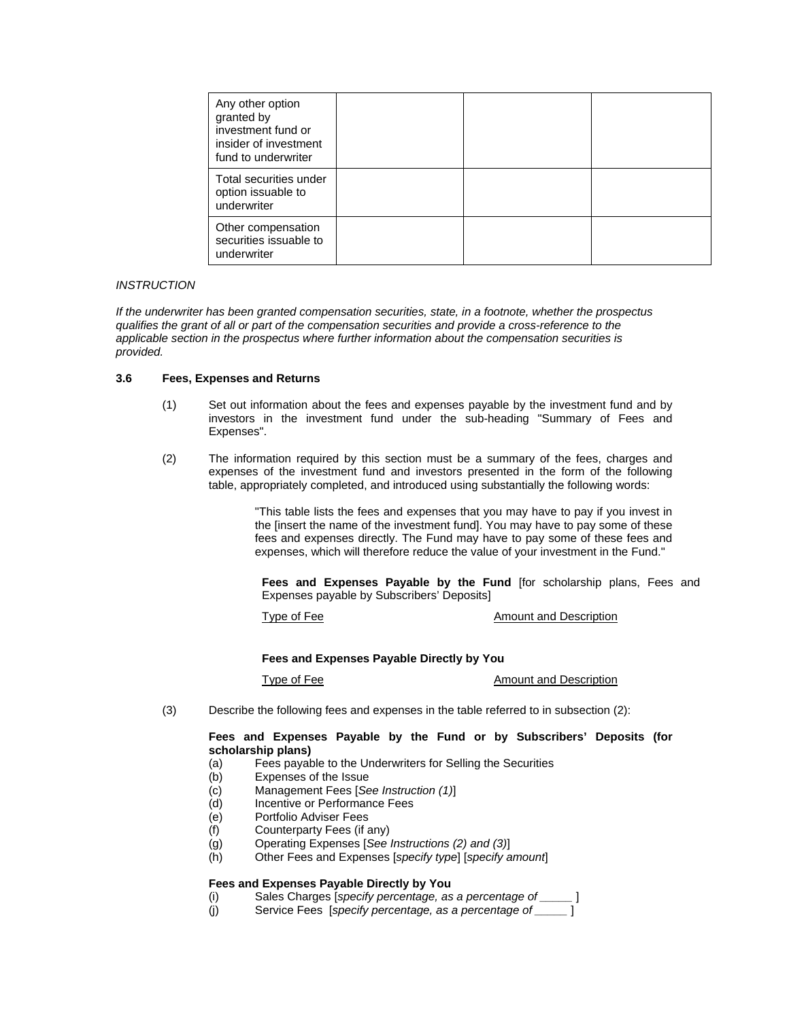| Any other option<br>granted by<br>investment fund or<br>insider of investment<br>fund to underwriter |  |  |
|------------------------------------------------------------------------------------------------------|--|--|
| Total securities under<br>option issuable to<br>underwriter                                          |  |  |
| Other compensation<br>securities issuable to<br>underwriter                                          |  |  |

# *INSTRUCTION*

*If the underwriter has been granted compensation securities, state, in a footnote, whether the prospectus qualifies the grant of all or part of the compensation securities and provide a cross-reference to the applicable section in the prospectus where further information about the compensation securities is provided.*

## **3.6 Fees, Expenses and Returns**

- (1) Set out information about the fees and expenses payable by the investment fund and by investors in the investment fund under the sub-heading "Summary of Fees and Expenses".
- (2) The information required by this section must be a summary of the fees, charges and expenses of the investment fund and investors presented in the form of the following table, appropriately completed, and introduced using substantially the following words:

"This table lists the fees and expenses that you may have to pay if you invest in the [insert the name of the investment fund]. You may have to pay some of these fees and expenses directly. The Fund may have to pay some of these fees and expenses, which will therefore reduce the value of your investment in the Fund."

**Fees and Expenses Payable by the Fund** [for scholarship plans, Fees and Expenses payable by Subscribers' Deposits]

Type of Fee Amount and Description

**Fees and Expenses Payable Directly by You** 

Type of Fee Amount and Description

(3) Describe the following fees and expenses in the table referred to in subsection (2):

**Fees and Expenses Payable by the Fund or by Subscribers' Deposits (for scholarship plans)** 

- (a) Fees payable to the Underwriters for Selling the Securities
- (b) Expenses of the Issue
- (c) Management Fees [*See Instruction (1)*]
- (d) Incentive or Performance Fees
- (e) Portfolio Adviser Fees
- (f) Counterparty Fees (if any)
- (g) Operating Expenses [*See Instructions (2) and (3)*]
- (h) Other Fees and Expenses [*specify type*] [*specify amount*]

## **Fees and Expenses Payable Directly by You**

- (i) Sales Charges [*specify percentage, as a percentage of \_\_\_\_\_* ]
- (j) Service Fees [*specify percentage, as a percentage of \_\_\_\_\_* ]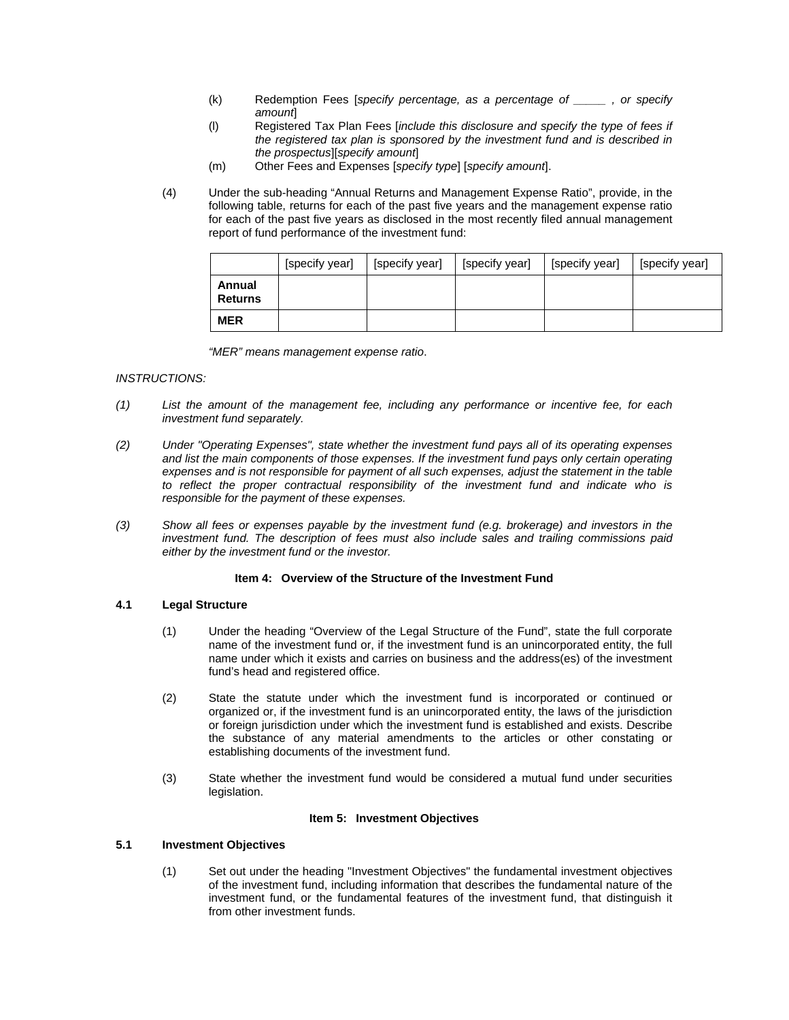- (k) Redemption Fees [*specify percentage, as a percentage of \_\_\_\_\_ , or specify amount*]
- (l) Registered Tax Plan Fees [*include this disclosure and specify the type of fees if the registered tax plan is sponsored by the investment fund and is described in the prospectus*][*specify amount*]
- (m) Other Fees and Expenses [*specify type*] [*specify amount*].
- (4) Under the sub-heading "Annual Returns and Management Expense Ratio", provide, in the following table, returns for each of the past five years and the management expense ratio for each of the past five years as disclosed in the most recently filed annual management report of fund performance of the investment fund:

|                          | [specify year] | [specify year] | [specify year] | [specify year] | [specify year] |
|--------------------------|----------------|----------------|----------------|----------------|----------------|
| Annual<br><b>Returns</b> |                |                |                |                |                |
| <b>MER</b>               |                |                |                |                |                |

*"MER" means management expense ratio*.

# *INSTRUCTIONS:*

- *(1) List the amount of the management fee, including any performance or incentive fee, for each investment fund separately.*
- *(2) Under "Operating Expenses", state whether the investment fund pays all of its operating expenses and list the main components of those expenses. If the investment fund pays only certain operating expenses and is not responsible for payment of all such expenses, adjust the statement in the table*  to reflect the proper contractual responsibility of the investment fund and indicate who is *responsible for the payment of these expenses.*
- *(3) Show all fees or expenses payable by the investment fund (e.g. brokerage) and investors in the investment fund. The description of fees must also include sales and trailing commissions paid either by the investment fund or the investor.*

# **Item 4: Overview of the Structure of the Investment Fund**

# **4.1 Legal Structure**

- (1) Under the heading "Overview of the Legal Structure of the Fund", state the full corporate name of the investment fund or, if the investment fund is an unincorporated entity, the full name under which it exists and carries on business and the address(es) of the investment fund's head and registered office.
- (2) State the statute under which the investment fund is incorporated or continued or organized or, if the investment fund is an unincorporated entity, the laws of the jurisdiction or foreign jurisdiction under which the investment fund is established and exists. Describe the substance of any material amendments to the articles or other constating or establishing documents of the investment fund.
- (3) State whether the investment fund would be considered a mutual fund under securities legislation.

#### **Item 5: Investment Objectives**

# **5.1 Investment Objectives**

(1) Set out under the heading "Investment Objectives" the fundamental investment objectives of the investment fund, including information that describes the fundamental nature of the investment fund, or the fundamental features of the investment fund, that distinguish it from other investment funds.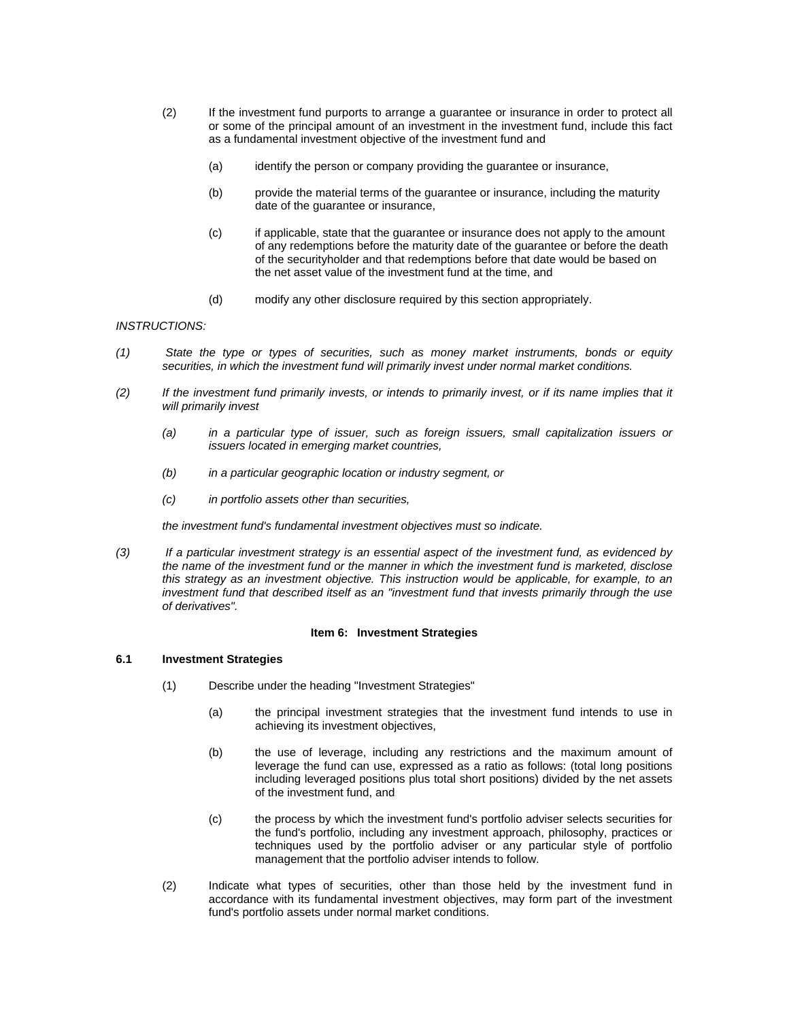- (2) If the investment fund purports to arrange a guarantee or insurance in order to protect all or some of the principal amount of an investment in the investment fund, include this fact as a fundamental investment objective of the investment fund and
	- (a) identify the person or company providing the guarantee or insurance,
	- (b) provide the material terms of the guarantee or insurance, including the maturity date of the guarantee or insurance,
	- (c) if applicable, state that the guarantee or insurance does not apply to the amount of any redemptions before the maturity date of the guarantee or before the death of the securityholder and that redemptions before that date would be based on the net asset value of the investment fund at the time, and
	- (d) modify any other disclosure required by this section appropriately.

# *INSTRUCTIONS:*

- *(1) State the type or types of securities, such as money market instruments, bonds or equity securities, in which the investment fund will primarily invest under normal market conditions.*
- *(2) If the investment fund primarily invests, or intends to primarily invest, or if its name implies that it will primarily invest* 
	- *(a) in a particular type of issuer, such as foreign issuers, small capitalization issuers or issuers located in emerging market countries,*
	- *(b) in a particular geographic location or industry segment, or*
	- *(c) in portfolio assets other than securities,*

*the investment fund's fundamental investment objectives must so indicate.* 

*(3) If a particular investment strategy is an essential aspect of the investment fund, as evidenced by the name of the investment fund or the manner in which the investment fund is marketed, disclose this strategy as an investment objective. This instruction would be applicable, for example, to an investment fund that described itself as an "investment fund that invests primarily through the use of derivatives".* 

#### **Item 6: Investment Strategies**

## **6.1 Investment Strategies**

- (1) Describe under the heading "Investment Strategies"
	- (a) the principal investment strategies that the investment fund intends to use in achieving its investment objectives,
	- (b) the use of leverage, including any restrictions and the maximum amount of leverage the fund can use, expressed as a ratio as follows: (total long positions including leveraged positions plus total short positions) divided by the net assets of the investment fund, and
	- (c) the process by which the investment fund's portfolio adviser selects securities for the fund's portfolio, including any investment approach, philosophy, practices or techniques used by the portfolio adviser or any particular style of portfolio management that the portfolio adviser intends to follow.
- (2) Indicate what types of securities, other than those held by the investment fund in accordance with its fundamental investment objectives, may form part of the investment fund's portfolio assets under normal market conditions.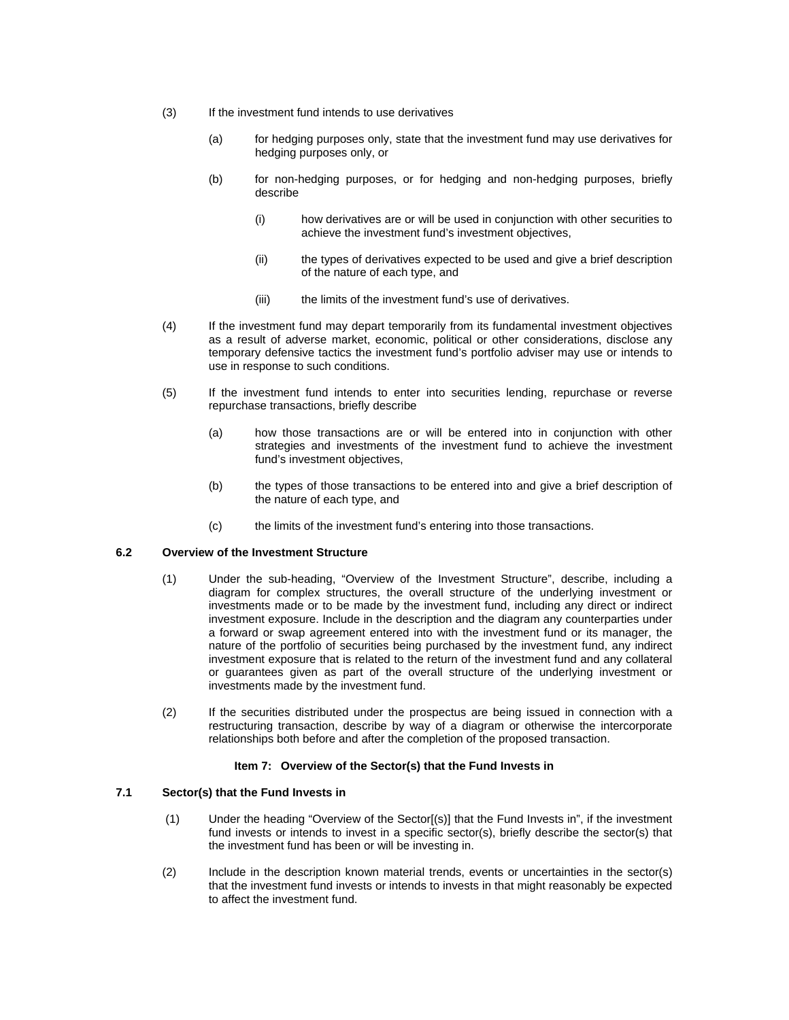- (3) If the investment fund intends to use derivatives
	- (a) for hedging purposes only, state that the investment fund may use derivatives for hedging purposes only, or
	- (b) for non-hedging purposes, or for hedging and non-hedging purposes, briefly describe
		- (i) how derivatives are or will be used in conjunction with other securities to achieve the investment fund's investment objectives,
		- (ii) the types of derivatives expected to be used and give a brief description of the nature of each type, and
		- (iii) the limits of the investment fund's use of derivatives.
- (4) If the investment fund may depart temporarily from its fundamental investment objectives as a result of adverse market, economic, political or other considerations, disclose any temporary defensive tactics the investment fund's portfolio adviser may use or intends to use in response to such conditions.
- (5) If the investment fund intends to enter into securities lending, repurchase or reverse repurchase transactions, briefly describe
	- (a) how those transactions are or will be entered into in conjunction with other strategies and investments of the investment fund to achieve the investment fund's investment objectives,
	- (b) the types of those transactions to be entered into and give a brief description of the nature of each type, and
	- (c) the limits of the investment fund's entering into those transactions.

# **6.2 Overview of the Investment Structure**

- (1) Under the sub-heading, "Overview of the Investment Structure", describe, including a diagram for complex structures, the overall structure of the underlying investment or investments made or to be made by the investment fund, including any direct or indirect investment exposure. Include in the description and the diagram any counterparties under a forward or swap agreement entered into with the investment fund or its manager, the nature of the portfolio of securities being purchased by the investment fund, any indirect investment exposure that is related to the return of the investment fund and any collateral or guarantees given as part of the overall structure of the underlying investment or investments made by the investment fund.
- (2) If the securities distributed under the prospectus are being issued in connection with a restructuring transaction, describe by way of a diagram or otherwise the intercorporate relationships both before and after the completion of the proposed transaction.

## **Item 7: Overview of the Sector(s) that the Fund Invests in**

# **7.1 Sector(s) that the Fund Invests in**

- (1) Under the heading "Overview of the Sector[(s)] that the Fund Invests in", if the investment fund invests or intends to invest in a specific sector(s), briefly describe the sector(s) that the investment fund has been or will be investing in.
- (2) Include in the description known material trends, events or uncertainties in the sector(s) that the investment fund invests or intends to invests in that might reasonably be expected to affect the investment fund.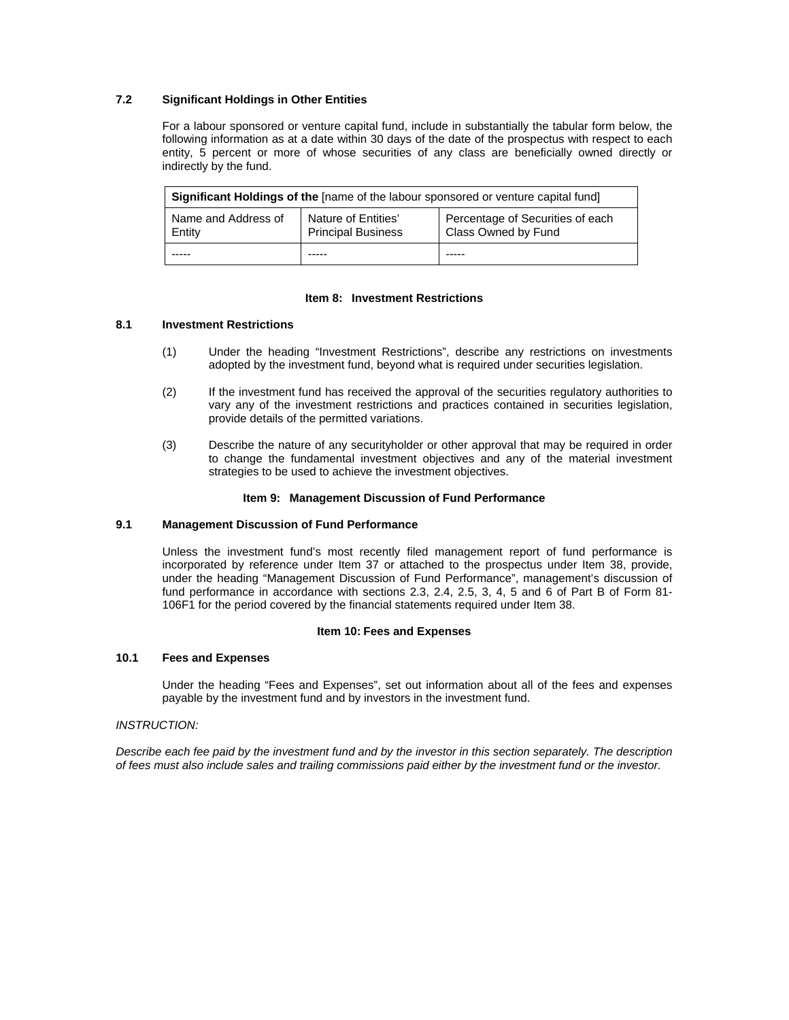# **7.2 Significant Holdings in Other Entities**

 For a labour sponsored or venture capital fund, include in substantially the tabular form below, the following information as at a date within 30 days of the date of the prospectus with respect to each entity, 5 percent or more of whose securities of any class are beneficially owned directly or indirectly by the fund.

| Significant Holdings of the [name of the labour sponsored or venture capital fund] |                                                  |                                                         |  |
|------------------------------------------------------------------------------------|--------------------------------------------------|---------------------------------------------------------|--|
| Name and Address of<br>Entity                                                      | Nature of Entities'<br><b>Principal Business</b> | Percentage of Securities of each<br>Class Owned by Fund |  |
|                                                                                    |                                                  |                                                         |  |

## **Item 8: Investment Restrictions**

# **8.1 Investment Restrictions**

- (1) Under the heading "Investment Restrictions", describe any restrictions on investments adopted by the investment fund, beyond what is required under securities legislation.
- (2) If the investment fund has received the approval of the securities regulatory authorities to vary any of the investment restrictions and practices contained in securities legislation, provide details of the permitted variations.
- (3) Describe the nature of any securityholder or other approval that may be required in order to change the fundamental investment objectives and any of the material investment strategies to be used to achieve the investment objectives.

# **Item 9: Management Discussion of Fund Performance**

# **9.1 Management Discussion of Fund Performance**

Unless the investment fund's most recently filed management report of fund performance is incorporated by reference under Item 37 or attached to the prospectus under Item 38, provide, under the heading "Management Discussion of Fund Performance", management's discussion of fund performance in accordance with sections 2.3, 2.4, 2.5, 3, 4, 5 and 6 of Part B of Form 81- 106F1 for the period covered by the financial statements required under Item 38.

#### **Item 10: Fees and Expenses**

# **10.1 Fees and Expenses**

Under the heading "Fees and Expenses", set out information about all of the fees and expenses payable by the investment fund and by investors in the investment fund.

## *INSTRUCTION:*

*Describe each fee paid by the investment fund and by the investor in this section separately. The description of fees must also include sales and trailing commissions paid either by the investment fund or the investor.*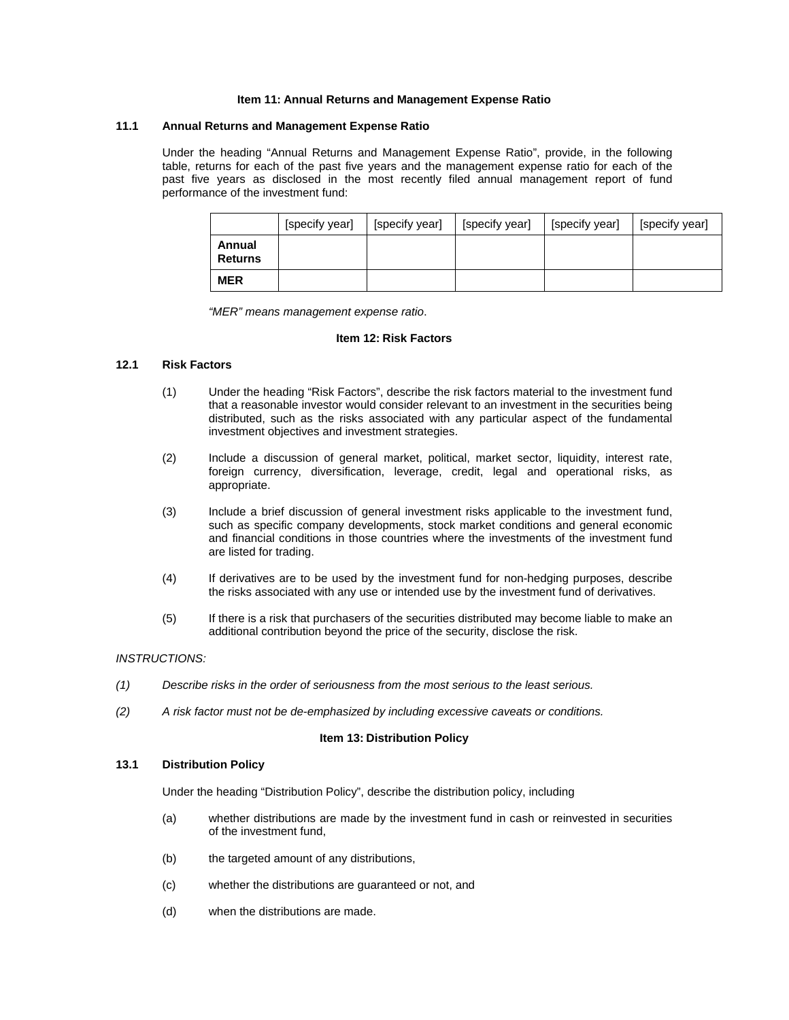## **Item 11: Annual Returns and Management Expense Ratio**

## **11.1 Annual Returns and Management Expense Ratio**

Under the heading "Annual Returns and Management Expense Ratio", provide, in the following table, returns for each of the past five years and the management expense ratio for each of the past five years as disclosed in the most recently filed annual management report of fund performance of the investment fund:

|                          | [specify year] | [specify year] | [specify year] | [specify year] | [specify year] |
|--------------------------|----------------|----------------|----------------|----------------|----------------|
| Annual<br><b>Returns</b> |                |                |                |                |                |
| <b>MER</b>               |                |                |                |                |                |

*"MER" means management expense ratio*.

## **Item 12: Risk Factors**

## **12.1 Risk Factors**

- (1) Under the heading "Risk Factors", describe the risk factors material to the investment fund that a reasonable investor would consider relevant to an investment in the securities being distributed, such as the risks associated with any particular aspect of the fundamental investment objectives and investment strategies.
- (2) Include a discussion of general market, political, market sector, liquidity, interest rate, foreign currency, diversification, leverage, credit, legal and operational risks, as appropriate.
- (3) Include a brief discussion of general investment risks applicable to the investment fund, such as specific company developments, stock market conditions and general economic and financial conditions in those countries where the investments of the investment fund are listed for trading.
- (4) If derivatives are to be used by the investment fund for non-hedging purposes, describe the risks associated with any use or intended use by the investment fund of derivatives.
- (5) If there is a risk that purchasers of the securities distributed may become liable to make an additional contribution beyond the price of the security, disclose the risk.

# *INSTRUCTIONS:*

- *(1) Describe risks in the order of seriousness from the most serious to the least serious.*
- *(2) A risk factor must not be de-emphasized by including excessive caveats or conditions.*

#### **Item 13: Distribution Policy**

#### **13.1 Distribution Policy**

Under the heading "Distribution Policy", describe the distribution policy, including

- (a) whether distributions are made by the investment fund in cash or reinvested in securities of the investment fund,
- (b) the targeted amount of any distributions,
- (c) whether the distributions are guaranteed or not, and
- (d) when the distributions are made.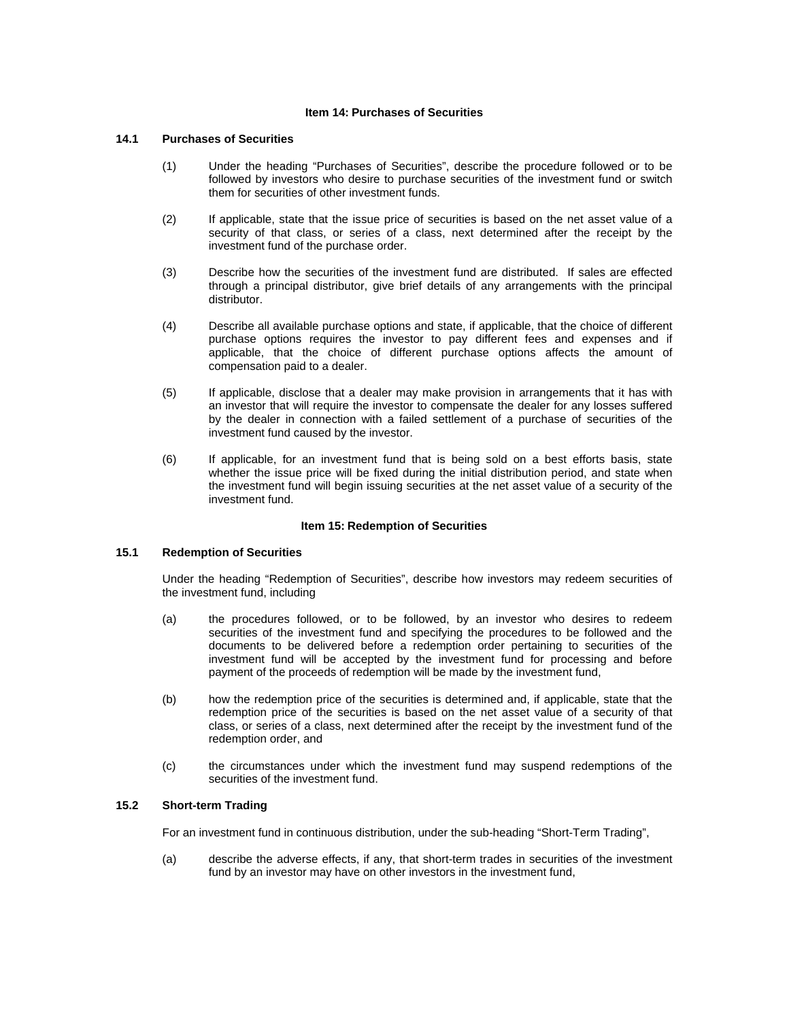### **Item 14: Purchases of Securities**

## **14.1 Purchases of Securities**

- (1) Under the heading "Purchases of Securities", describe the procedure followed or to be followed by investors who desire to purchase securities of the investment fund or switch them for securities of other investment funds.
- (2) If applicable, state that the issue price of securities is based on the net asset value of a security of that class, or series of a class, next determined after the receipt by the investment fund of the purchase order.
- (3) Describe how the securities of the investment fund are distributed. If sales are effected through a principal distributor, give brief details of any arrangements with the principal distributor.
- (4) Describe all available purchase options and state, if applicable, that the choice of different purchase options requires the investor to pay different fees and expenses and if applicable, that the choice of different purchase options affects the amount of compensation paid to a dealer.
- (5) If applicable, disclose that a dealer may make provision in arrangements that it has with an investor that will require the investor to compensate the dealer for any losses suffered by the dealer in connection with a failed settlement of a purchase of securities of the investment fund caused by the investor.
- (6) If applicable, for an investment fund that is being sold on a best efforts basis, state whether the issue price will be fixed during the initial distribution period, and state when the investment fund will begin issuing securities at the net asset value of a security of the investment fund.

#### **Item 15: Redemption of Securities**

# **15.1 Redemption of Securities**

Under the heading "Redemption of Securities", describe how investors may redeem securities of the investment fund, including

- (a) the procedures followed, or to be followed, by an investor who desires to redeem securities of the investment fund and specifying the procedures to be followed and the documents to be delivered before a redemption order pertaining to securities of the investment fund will be accepted by the investment fund for processing and before payment of the proceeds of redemption will be made by the investment fund,
- (b) how the redemption price of the securities is determined and, if applicable, state that the redemption price of the securities is based on the net asset value of a security of that class, or series of a class, next determined after the receipt by the investment fund of the redemption order, and
- (c) the circumstances under which the investment fund may suspend redemptions of the securities of the investment fund.

# **15.2 Short-term Trading**

For an investment fund in continuous distribution, under the sub-heading "Short-Term Trading",

(a) describe the adverse effects, if any, that short-term trades in securities of the investment fund by an investor may have on other investors in the investment fund,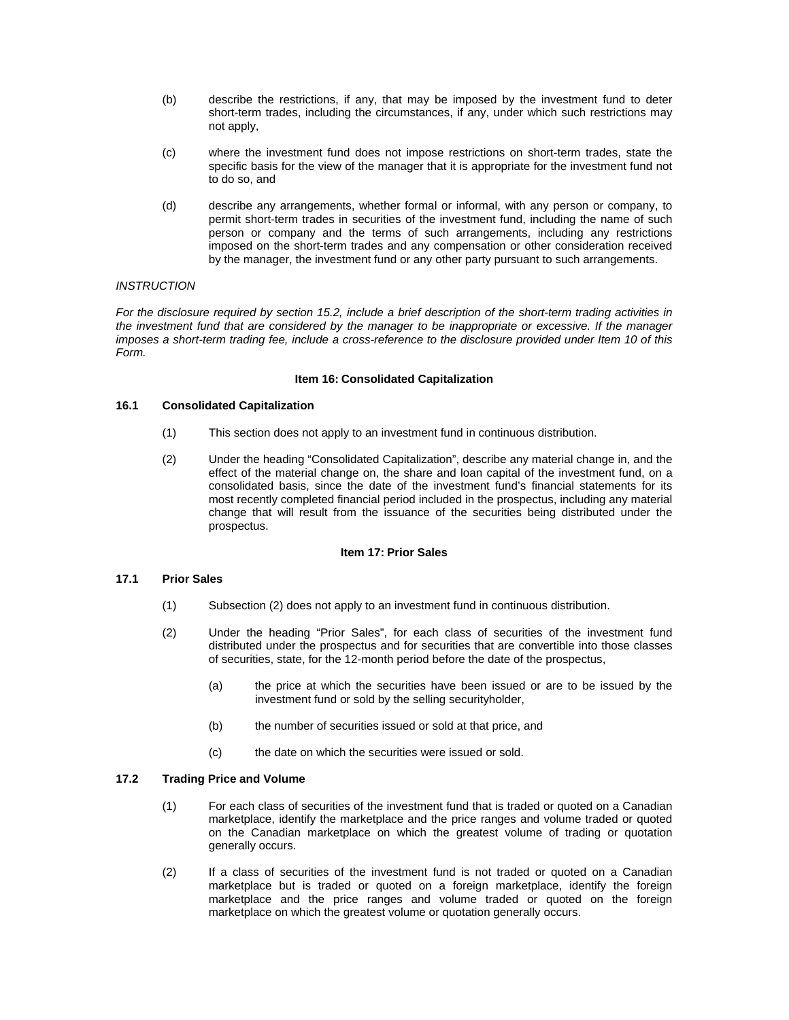- (b) describe the restrictions, if any, that may be imposed by the investment fund to deter short-term trades, including the circumstances, if any, under which such restrictions may not apply,
- (c) where the investment fund does not impose restrictions on short-term trades, state the specific basis for the view of the manager that it is appropriate for the investment fund not to do so, and
- (d) describe any arrangements, whether formal or informal, with any person or company, to permit short-term trades in securities of the investment fund, including the name of such person or company and the terms of such arrangements, including any restrictions imposed on the short-term trades and any compensation or other consideration received by the manager, the investment fund or any other party pursuant to such arrangements.

# *INSTRUCTION*

*For the disclosure required by section 15.2, include a brief description of the short-term trading activities in the investment fund that are considered by the manager to be inappropriate or excessive. If the manager imposes a short-term trading fee, include a cross-reference to the disclosure provided under Item 10 of this Form.* 

# **Item 16: Consolidated Capitalization**

# **16.1 Consolidated Capitalization**

- (1) This section does not apply to an investment fund in continuous distribution.
- (2) Under the heading "Consolidated Capitalization", describe any material change in, and the effect of the material change on, the share and loan capital of the investment fund, on a consolidated basis, since the date of the investment fund's financial statements for its most recently completed financial period included in the prospectus, including any material change that will result from the issuance of the securities being distributed under the prospectus.

# **Item 17: Prior Sales**

# **17.1 Prior Sales**

- (1) Subsection (2) does not apply to an investment fund in continuous distribution.
- (2) Under the heading "Prior Sales", for each class of securities of the investment fund distributed under the prospectus and for securities that are convertible into those classes of securities, state, for the 12-month period before the date of the prospectus,
	- (a) the price at which the securities have been issued or are to be issued by the investment fund or sold by the selling securityholder,
	- (b) the number of securities issued or sold at that price, and
	- (c) the date on which the securities were issued or sold.

# **17.2 Trading Price and Volume**

- (1) For each class of securities of the investment fund that is traded or quoted on a Canadian marketplace, identify the marketplace and the price ranges and volume traded or quoted on the Canadian marketplace on which the greatest volume of trading or quotation generally occurs.
- (2) If a class of securities of the investment fund is not traded or quoted on a Canadian marketplace but is traded or quoted on a foreign marketplace, identify the foreign marketplace and the price ranges and volume traded or quoted on the foreign marketplace on which the greatest volume or quotation generally occurs.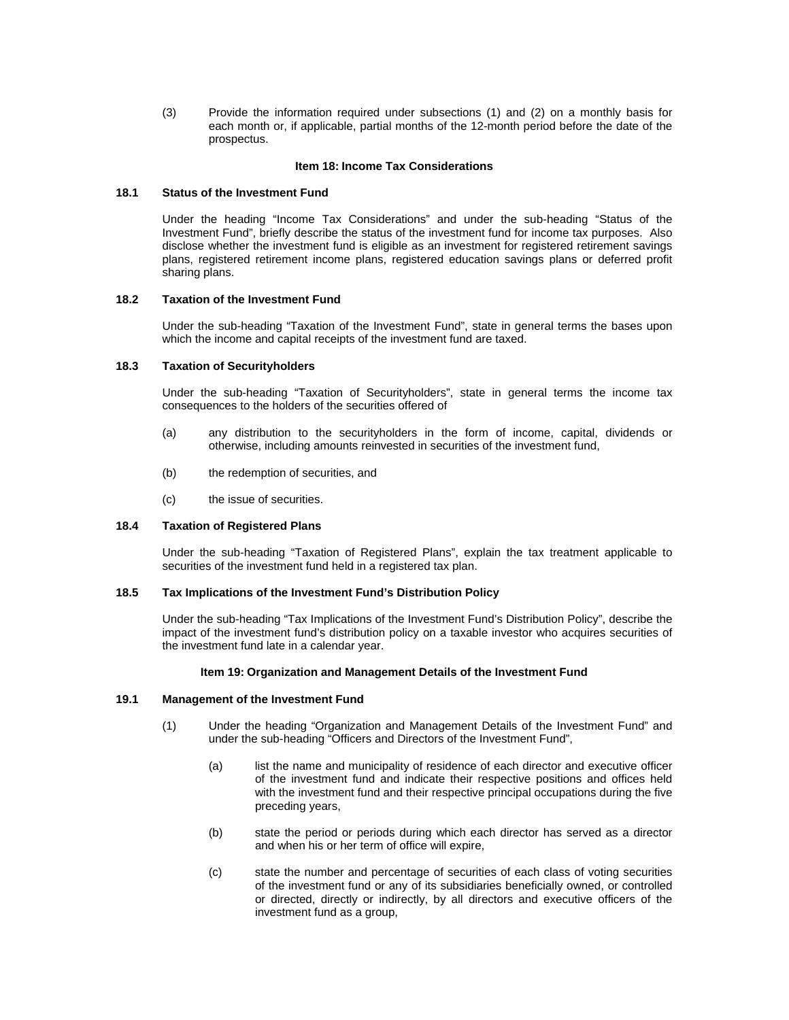(3) Provide the information required under subsections (1) and (2) on a monthly basis for each month or, if applicable, partial months of the 12-month period before the date of the prospectus.

### **Item 18: Income Tax Considerations**

## **18.1 Status of the Investment Fund**

 Under the heading "Income Tax Considerations" and under the sub-heading "Status of the Investment Fund", briefly describe the status of the investment fund for income tax purposes. Also disclose whether the investment fund is eligible as an investment for registered retirement savings plans, registered retirement income plans, registered education savings plans or deferred profit sharing plans.

## **18.2 Taxation of the Investment Fund**

Under the sub-heading "Taxation of the Investment Fund", state in general terms the bases upon which the income and capital receipts of the investment fund are taxed.

## **18.3 Taxation of Securityholders**

 Under the sub-heading "Taxation of Securityholders", state in general terms the income tax consequences to the holders of the securities offered of

- (a) any distribution to the securityholders in the form of income, capital, dividends or otherwise, including amounts reinvested in securities of the investment fund,
- (b) the redemption of securities, and
- (c) the issue of securities.

## **18.4 Taxation of Registered Plans**

 Under the sub-heading "Taxation of Registered Plans", explain the tax treatment applicable to securities of the investment fund held in a registered tax plan.

#### **18.5 Tax Implications of the Investment Fund's Distribution Policy**

 Under the sub-heading "Tax Implications of the Investment Fund's Distribution Policy", describe the impact of the investment fund's distribution policy on a taxable investor who acquires securities of the investment fund late in a calendar year.

#### **Item 19: Organization and Management Details of the Investment Fund**

### **19.1 Management of the Investment Fund**

- (1) Under the heading "Organization and Management Details of the Investment Fund" and under the sub-heading "Officers and Directors of the Investment Fund",
	- (a) list the name and municipality of residence of each director and executive officer of the investment fund and indicate their respective positions and offices held with the investment fund and their respective principal occupations during the five preceding years,
	- (b) state the period or periods during which each director has served as a director and when his or her term of office will expire,
	- (c) state the number and percentage of securities of each class of voting securities of the investment fund or any of its subsidiaries beneficially owned, or controlled or directed, directly or indirectly, by all directors and executive officers of the investment fund as a group,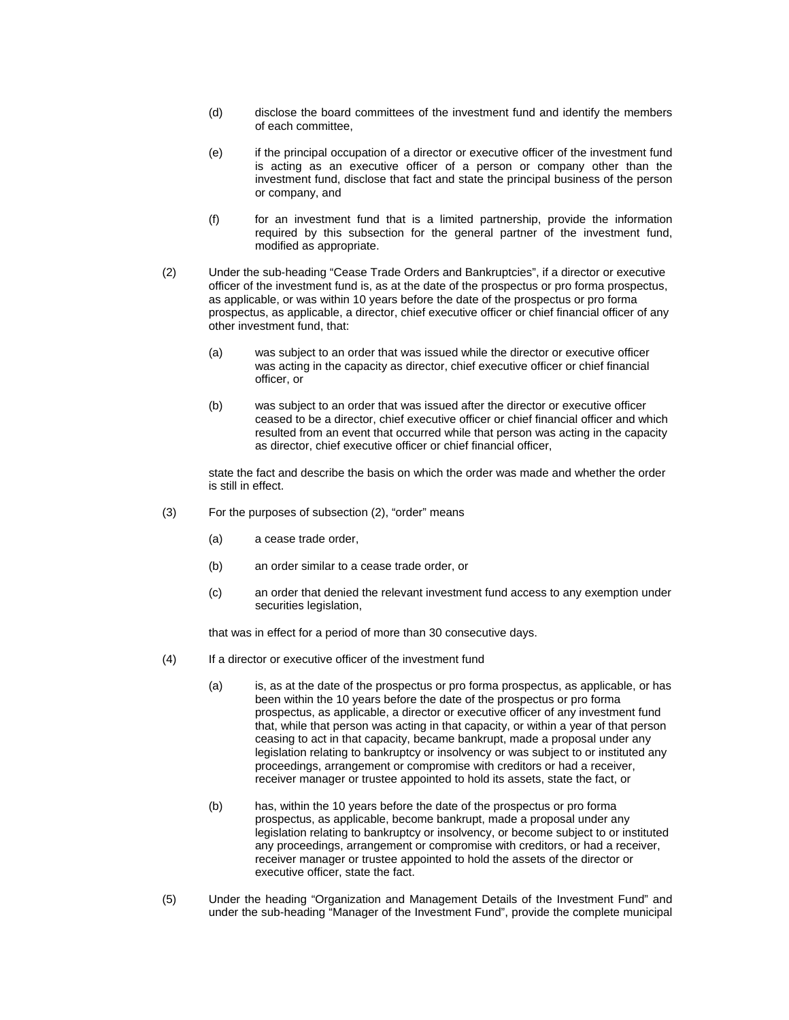- (d) disclose the board committees of the investment fund and identify the members of each committee,
- (e) if the principal occupation of a director or executive officer of the investment fund is acting as an executive officer of a person or company other than the investment fund, disclose that fact and state the principal business of the person or company, and
- (f) for an investment fund that is a limited partnership, provide the information required by this subsection for the general partner of the investment fund, modified as appropriate.
- (2) Under the sub-heading "Cease Trade Orders and Bankruptcies", if a director or executive officer of the investment fund is, as at the date of the prospectus or pro forma prospectus, as applicable, or was within 10 years before the date of the prospectus or pro forma prospectus, as applicable, a director, chief executive officer or chief financial officer of any other investment fund, that:
	- (a) was subject to an order that was issued while the director or executive officer was acting in the capacity as director, chief executive officer or chief financial officer, or
	- (b) was subject to an order that was issued after the director or executive officer ceased to be a director, chief executive officer or chief financial officer and which resulted from an event that occurred while that person was acting in the capacity as director, chief executive officer or chief financial officer,

state the fact and describe the basis on which the order was made and whether the order is still in effect.

- (3) For the purposes of subsection (2), "order" means
	- (a) a cease trade order,
	- (b) an order similar to a cease trade order, or
	- (c) an order that denied the relevant investment fund access to any exemption under securities legislation,

that was in effect for a period of more than 30 consecutive days.

- (4) If a director or executive officer of the investment fund
	- (a) is, as at the date of the prospectus or pro forma prospectus, as applicable, or has been within the 10 years before the date of the prospectus or pro forma prospectus, as applicable, a director or executive officer of any investment fund that, while that person was acting in that capacity, or within a year of that person ceasing to act in that capacity, became bankrupt, made a proposal under any legislation relating to bankruptcy or insolvency or was subject to or instituted any proceedings, arrangement or compromise with creditors or had a receiver, receiver manager or trustee appointed to hold its assets, state the fact, or
	- (b) has, within the 10 years before the date of the prospectus or pro forma prospectus, as applicable, become bankrupt, made a proposal under any legislation relating to bankruptcy or insolvency, or become subject to or instituted any proceedings, arrangement or compromise with creditors, or had a receiver, receiver manager or trustee appointed to hold the assets of the director or executive officer, state the fact.
- (5) Under the heading "Organization and Management Details of the Investment Fund" and under the sub-heading "Manager of the Investment Fund", provide the complete municipal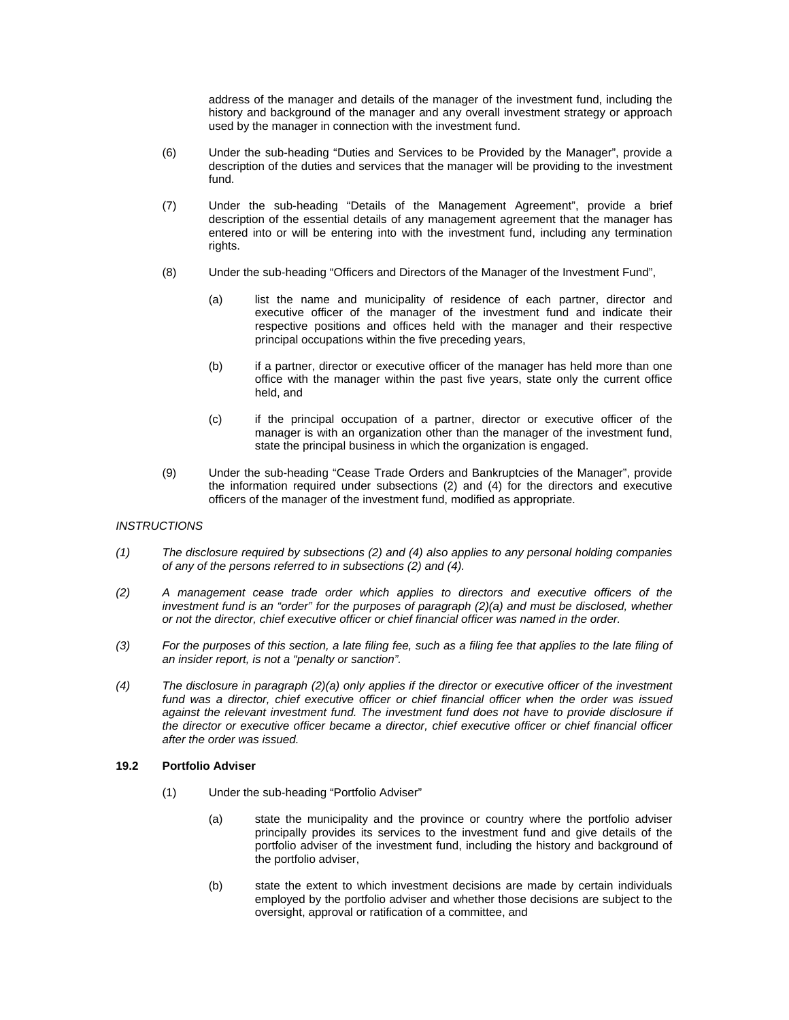address of the manager and details of the manager of the investment fund, including the history and background of the manager and any overall investment strategy or approach used by the manager in connection with the investment fund.

- (6) Under the sub-heading "Duties and Services to be Provided by the Manager", provide a description of the duties and services that the manager will be providing to the investment fund.
- (7) Under the sub-heading "Details of the Management Agreement", provide a brief description of the essential details of any management agreement that the manager has entered into or will be entering into with the investment fund, including any termination rights.
- (8) Under the sub-heading "Officers and Directors of the Manager of the Investment Fund",
	- (a) list the name and municipality of residence of each partner, director and executive officer of the manager of the investment fund and indicate their respective positions and offices held with the manager and their respective principal occupations within the five preceding years,
	- (b) if a partner, director or executive officer of the manager has held more than one office with the manager within the past five years, state only the current office held, and
	- (c) if the principal occupation of a partner, director or executive officer of the manager is with an organization other than the manager of the investment fund, state the principal business in which the organization is engaged.
- (9) Under the sub-heading "Cease Trade Orders and Bankruptcies of the Manager", provide the information required under subsections (2) and (4) for the directors and executive officers of the manager of the investment fund, modified as appropriate.

# *INSTRUCTIONS*

- *(1) The disclosure required by subsections (2) and (4) also applies to any personal holding companies of any of the persons referred to in subsections (2) and (4).*
- *(2) A management cease trade order which applies to directors and executive officers of the investment fund is an "order" for the purposes of paragraph (2)(a) and must be disclosed, whether or not the director, chief executive officer or chief financial officer was named in the order.*
- *(3) For the purposes of this section, a late filing fee, such as a filing fee that applies to the late filing of an insider report, is not a "penalty or sanction".*
- *(4) The disclosure in paragraph (2)(a) only applies if the director or executive officer of the investment fund was a director, chief executive officer or chief financial officer when the order was issued against the relevant investment fund. The investment fund does not have to provide disclosure if the director or executive officer became a director, chief executive officer or chief financial officer after the order was issued.*

# **19.2 Portfolio Adviser**

- (1) Under the sub-heading "Portfolio Adviser"
	- (a) state the municipality and the province or country where the portfolio adviser principally provides its services to the investment fund and give details of the portfolio adviser of the investment fund, including the history and background of the portfolio adviser,
	- (b) state the extent to which investment decisions are made by certain individuals employed by the portfolio adviser and whether those decisions are subject to the oversight, approval or ratification of a committee, and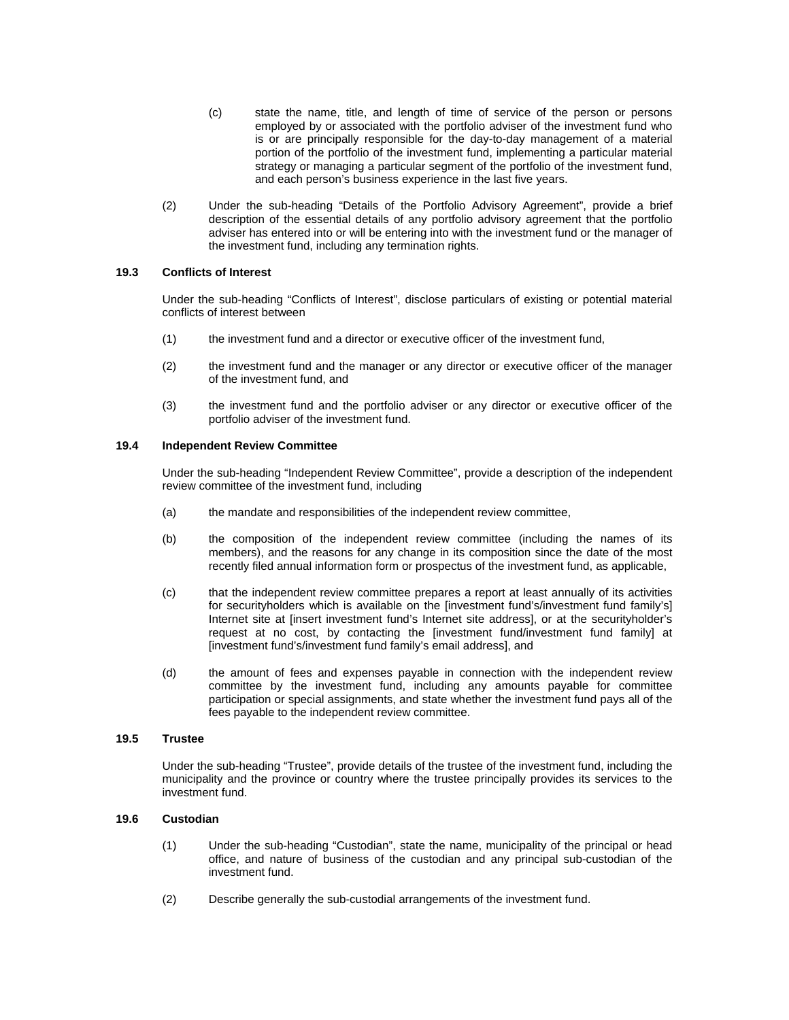- (c) state the name, title, and length of time of service of the person or persons employed by or associated with the portfolio adviser of the investment fund who is or are principally responsible for the day-to-day management of a material portion of the portfolio of the investment fund, implementing a particular material strategy or managing a particular segment of the portfolio of the investment fund, and each person's business experience in the last five years.
- (2) Under the sub-heading "Details of the Portfolio Advisory Agreement", provide a brief description of the essential details of any portfolio advisory agreement that the portfolio adviser has entered into or will be entering into with the investment fund or the manager of the investment fund, including any termination rights.

## **19.3 Conflicts of Interest**

 Under the sub-heading "Conflicts of Interest", disclose particulars of existing or potential material conflicts of interest between

- (1) the investment fund and a director or executive officer of the investment fund,
- (2) the investment fund and the manager or any director or executive officer of the manager of the investment fund, and
- (3) the investment fund and the portfolio adviser or any director or executive officer of the portfolio adviser of the investment fund.

# **19.4 Independent Review Committee**

Under the sub-heading "Independent Review Committee", provide a description of the independent review committee of the investment fund, including

- (a) the mandate and responsibilities of the independent review committee,
- (b) the composition of the independent review committee (including the names of its members), and the reasons for any change in its composition since the date of the most recently filed annual information form or prospectus of the investment fund, as applicable,
- (c) that the independent review committee prepares a report at least annually of its activities for securityholders which is available on the [investment fund's/investment fund family's] Internet site at [insert investment fund's Internet site address], or at the securityholder's request at no cost, by contacting the [investment fund/investment fund family] at [investment fund's/investment fund family's email address], and
- (d) the amount of fees and expenses payable in connection with the independent review committee by the investment fund, including any amounts payable for committee participation or special assignments, and state whether the investment fund pays all of the fees payable to the independent review committee.

# **19.5 Trustee**

Under the sub-heading "Trustee", provide details of the trustee of the investment fund, including the municipality and the province or country where the trustee principally provides its services to the investment fund.

# **19.6 Custodian**

- (1) Under the sub-heading "Custodian", state the name, municipality of the principal or head office, and nature of business of the custodian and any principal sub-custodian of the investment fund.
- (2) Describe generally the sub-custodial arrangements of the investment fund.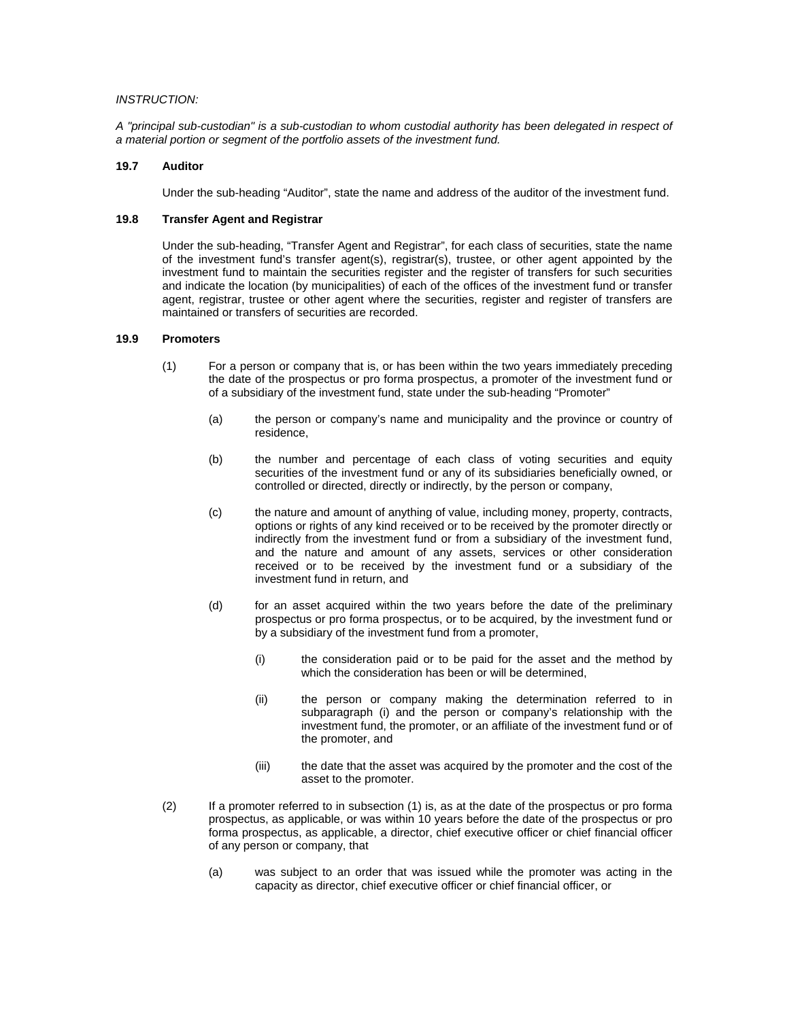# *INSTRUCTION:*

*A "principal sub-custodian" is a sub-custodian to whom custodial authority has been delegated in respect of a material portion or segment of the portfolio assets of the investment fund.* 

## **19.7 Auditor**

Under the sub-heading "Auditor", state the name and address of the auditor of the investment fund.

# **19.8 Transfer Agent and Registrar**

 Under the sub-heading, "Transfer Agent and Registrar", for each class of securities, state the name of the investment fund's transfer agent(s), registrar(s), trustee, or other agent appointed by the investment fund to maintain the securities register and the register of transfers for such securities and indicate the location (by municipalities) of each of the offices of the investment fund or transfer agent, registrar, trustee or other agent where the securities, register and register of transfers are maintained or transfers of securities are recorded.

## **19.9 Promoters**

- (1) For a person or company that is, or has been within the two years immediately preceding the date of the prospectus or pro forma prospectus, a promoter of the investment fund or of a subsidiary of the investment fund, state under the sub-heading "Promoter"
	- (a) the person or company's name and municipality and the province or country of residence,
	- (b) the number and percentage of each class of voting securities and equity securities of the investment fund or any of its subsidiaries beneficially owned, or controlled or directed, directly or indirectly, by the person or company,
	- (c) the nature and amount of anything of value, including money, property, contracts, options or rights of any kind received or to be received by the promoter directly or indirectly from the investment fund or from a subsidiary of the investment fund, and the nature and amount of any assets, services or other consideration received or to be received by the investment fund or a subsidiary of the investment fund in return, and
	- (d) for an asset acquired within the two years before the date of the preliminary prospectus or pro forma prospectus, or to be acquired, by the investment fund or by a subsidiary of the investment fund from a promoter,
		- (i) the consideration paid or to be paid for the asset and the method by which the consideration has been or will be determined,
		- (ii) the person or company making the determination referred to in subparagraph (i) and the person or company's relationship with the investment fund, the promoter, or an affiliate of the investment fund or of the promoter, and
		- (iii) the date that the asset was acquired by the promoter and the cost of the asset to the promoter.
- (2) If a promoter referred to in subsection (1) is, as at the date of the prospectus or pro forma prospectus, as applicable, or was within 10 years before the date of the prospectus or pro forma prospectus, as applicable, a director, chief executive officer or chief financial officer of any person or company, that
	- (a) was subject to an order that was issued while the promoter was acting in the capacity as director, chief executive officer or chief financial officer, or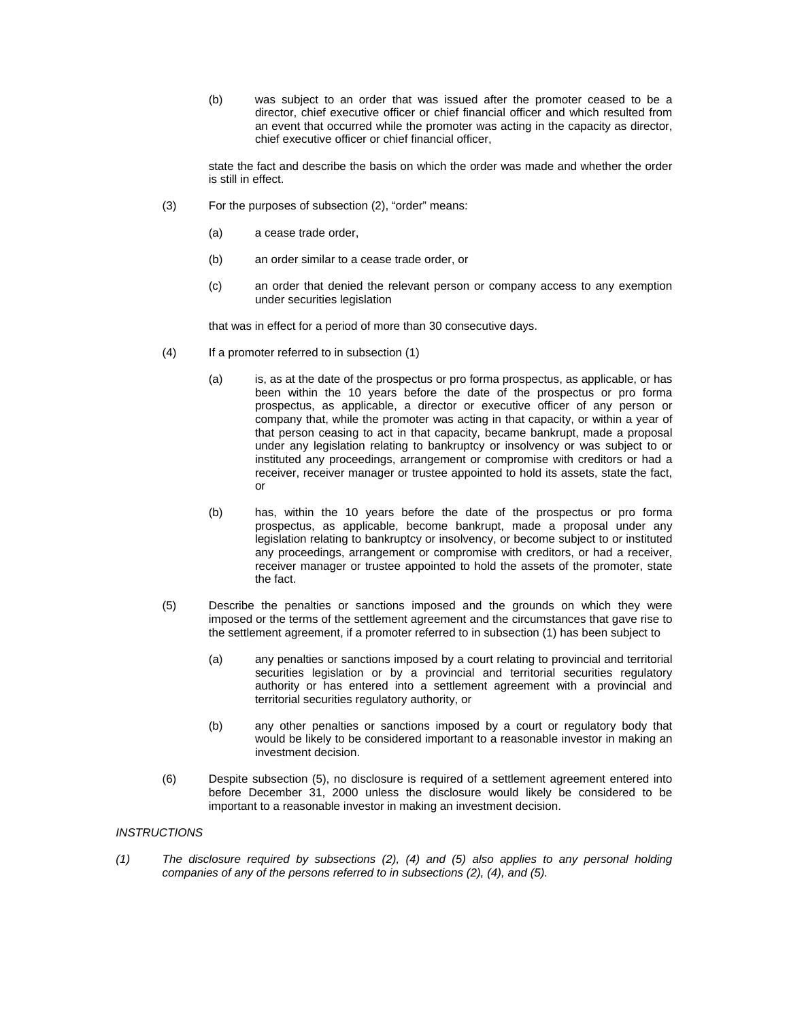(b) was subject to an order that was issued after the promoter ceased to be a director, chief executive officer or chief financial officer and which resulted from an event that occurred while the promoter was acting in the capacity as director, chief executive officer or chief financial officer,

state the fact and describe the basis on which the order was made and whether the order is still in effect.

- (3) For the purposes of subsection (2), "order" means:
	- (a) a cease trade order,
	- (b) an order similar to a cease trade order, or
	- (c) an order that denied the relevant person or company access to any exemption under securities legislation

that was in effect for a period of more than 30 consecutive days.

- (4) If a promoter referred to in subsection (1)
	- (a) is, as at the date of the prospectus or pro forma prospectus, as applicable, or has been within the 10 years before the date of the prospectus or pro forma prospectus, as applicable, a director or executive officer of any person or company that, while the promoter was acting in that capacity, or within a year of that person ceasing to act in that capacity, became bankrupt, made a proposal under any legislation relating to bankruptcy or insolvency or was subject to or instituted any proceedings, arrangement or compromise with creditors or had a receiver, receiver manager or trustee appointed to hold its assets, state the fact, or
	- (b) has, within the 10 years before the date of the prospectus or pro forma prospectus, as applicable, become bankrupt, made a proposal under any legislation relating to bankruptcy or insolvency, or become subject to or instituted any proceedings, arrangement or compromise with creditors, or had a receiver, receiver manager or trustee appointed to hold the assets of the promoter, state the fact.
- (5) Describe the penalties or sanctions imposed and the grounds on which they were imposed or the terms of the settlement agreement and the circumstances that gave rise to the settlement agreement, if a promoter referred to in subsection (1) has been subject to
	- (a) any penalties or sanctions imposed by a court relating to provincial and territorial securities legislation or by a provincial and territorial securities regulatory authority or has entered into a settlement agreement with a provincial and territorial securities regulatory authority, or
	- (b) any other penalties or sanctions imposed by a court or regulatory body that would be likely to be considered important to a reasonable investor in making an investment decision.
- (6) Despite subsection (5), no disclosure is required of a settlement agreement entered into before December 31, 2000 unless the disclosure would likely be considered to be important to a reasonable investor in making an investment decision.

# *INSTRUCTIONS*

*(1) The disclosure required by subsections (2), (4) and (5) also applies to any personal holding companies of any of the persons referred to in subsections (2), (4), and (5).*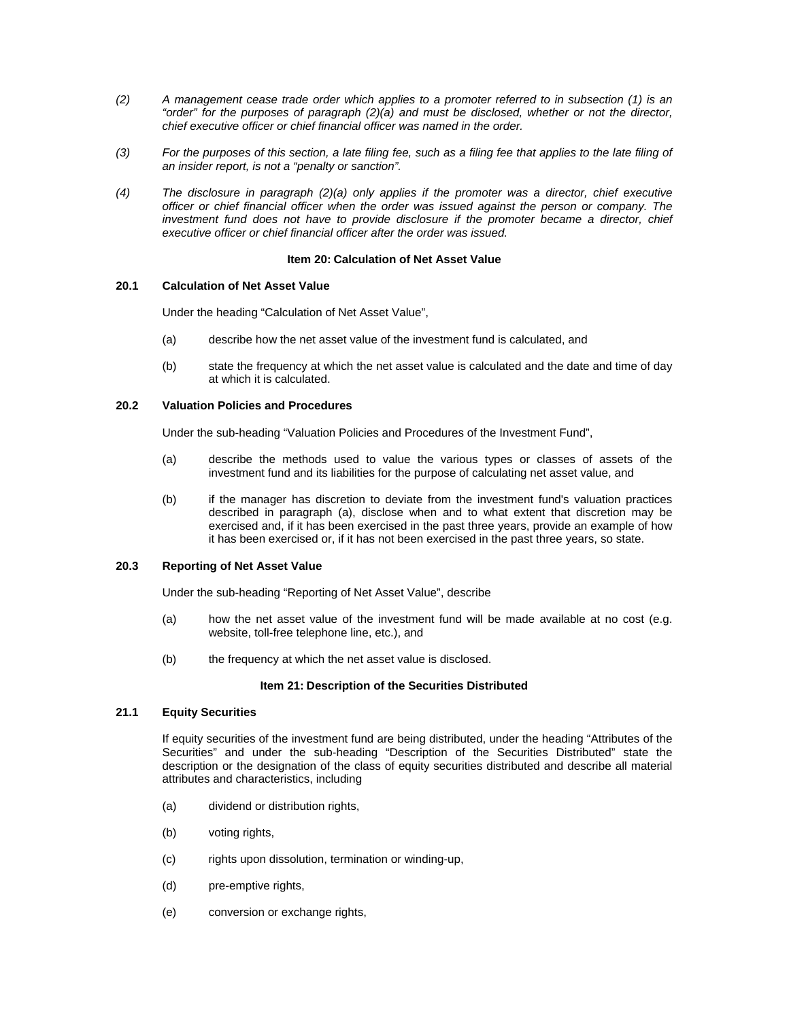- *(2) A management cease trade order which applies to a promoter referred to in subsection (1) is an "order" for the purposes of paragraph (2)(a) and must be disclosed, whether or not the director, chief executive officer or chief financial officer was named in the order.*
- *(3) For the purposes of this section, a late filing fee, such as a filing fee that applies to the late filing of an insider report, is not a "penalty or sanction".*
- *(4) The disclosure in paragraph (2)(a) only applies if the promoter was a director, chief executive officer or chief financial officer when the order was issued against the person or company. The*  investment fund does not have to provide disclosure if the promoter became a director, chief *executive officer or chief financial officer after the order was issued.*

## **Item 20: Calculation of Net Asset Value**

# **20.1 Calculation of Net Asset Value**

Under the heading "Calculation of Net Asset Value",

- (a) describe how the net asset value of the investment fund is calculated, and
- (b) state the frequency at which the net asset value is calculated and the date and time of day at which it is calculated.

# **20.2 Valuation Policies and Procedures**

Under the sub-heading "Valuation Policies and Procedures of the Investment Fund",

- (a) describe the methods used to value the various types or classes of assets of the investment fund and its liabilities for the purpose of calculating net asset value, and
- (b) if the manager has discretion to deviate from the investment fund's valuation practices described in paragraph (a), disclose when and to what extent that discretion may be exercised and, if it has been exercised in the past three years, provide an example of how it has been exercised or, if it has not been exercised in the past three years, so state.

## **20.3 Reporting of Net Asset Value**

Under the sub-heading "Reporting of Net Asset Value", describe

- (a) how the net asset value of the investment fund will be made available at no cost (e.g. website, toll-free telephone line, etc.), and
- (b) the frequency at which the net asset value is disclosed.

#### **Item 21: Description of the Securities Distributed**

## **21.1 Equity Securities**

 If equity securities of the investment fund are being distributed, under the heading "Attributes of the Securities" and under the sub-heading "Description of the Securities Distributed" state the description or the designation of the class of equity securities distributed and describe all material attributes and characteristics, including

- (a) dividend or distribution rights,
- (b) voting rights,
- (c) rights upon dissolution, termination or winding-up,
- (d) pre-emptive rights,
- (e) conversion or exchange rights,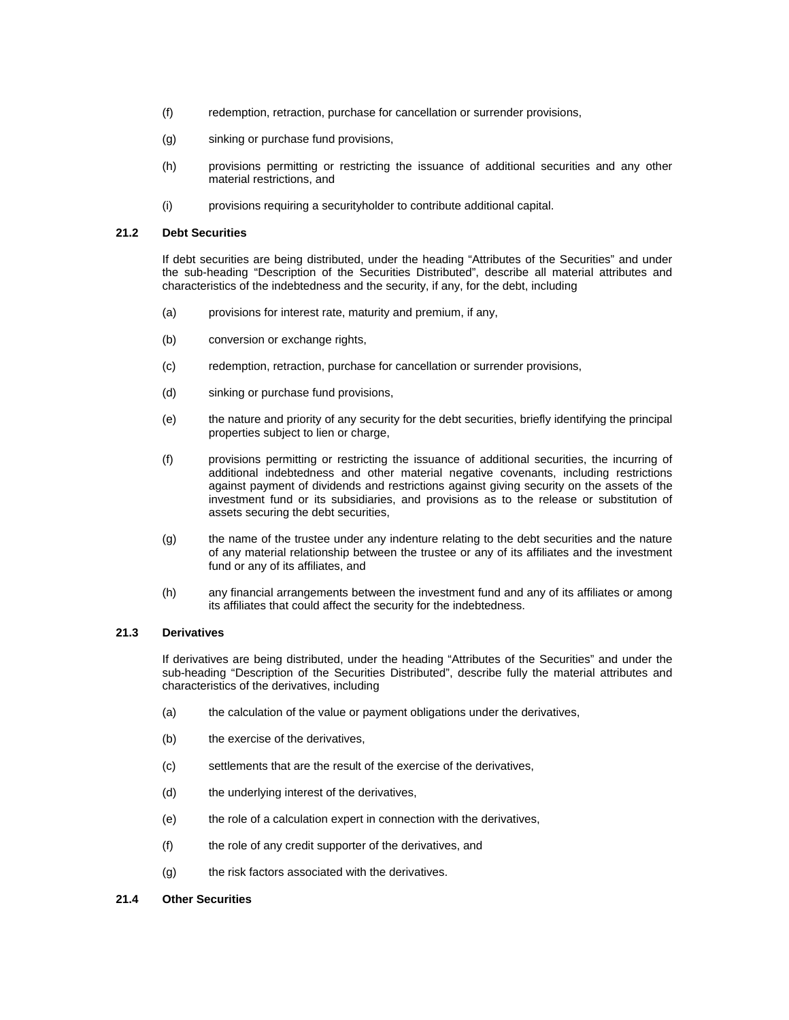- (f) redemption, retraction, purchase for cancellation or surrender provisions,
- (g) sinking or purchase fund provisions,
- (h) provisions permitting or restricting the issuance of additional securities and any other material restrictions, and
- (i) provisions requiring a securityholder to contribute additional capital.

## **21.2 Debt Securities**

 If debt securities are being distributed, under the heading "Attributes of the Securities" and under the sub-heading "Description of the Securities Distributed", describe all material attributes and characteristics of the indebtedness and the security, if any, for the debt, including

- (a) provisions for interest rate, maturity and premium, if any,
- (b) conversion or exchange rights,
- (c) redemption, retraction, purchase for cancellation or surrender provisions,
- (d) sinking or purchase fund provisions,
- (e) the nature and priority of any security for the debt securities, briefly identifying the principal properties subject to lien or charge,
- (f) provisions permitting or restricting the issuance of additional securities, the incurring of additional indebtedness and other material negative covenants, including restrictions against payment of dividends and restrictions against giving security on the assets of the investment fund or its subsidiaries, and provisions as to the release or substitution of assets securing the debt securities,
- (g) the name of the trustee under any indenture relating to the debt securities and the nature of any material relationship between the trustee or any of its affiliates and the investment fund or any of its affiliates, and
- (h) any financial arrangements between the investment fund and any of its affiliates or among its affiliates that could affect the security for the indebtedness.

# **21.3 Derivatives**

 If derivatives are being distributed, under the heading "Attributes of the Securities" and under the sub-heading "Description of the Securities Distributed", describe fully the material attributes and characteristics of the derivatives, including

- (a) the calculation of the value or payment obligations under the derivatives,
- (b) the exercise of the derivatives,
- (c) settlements that are the result of the exercise of the derivatives,
- (d) the underlying interest of the derivatives,
- (e) the role of a calculation expert in connection with the derivatives,
- (f) the role of any credit supporter of the derivatives, and
- (g) the risk factors associated with the derivatives.
- **21.4 Other Securities**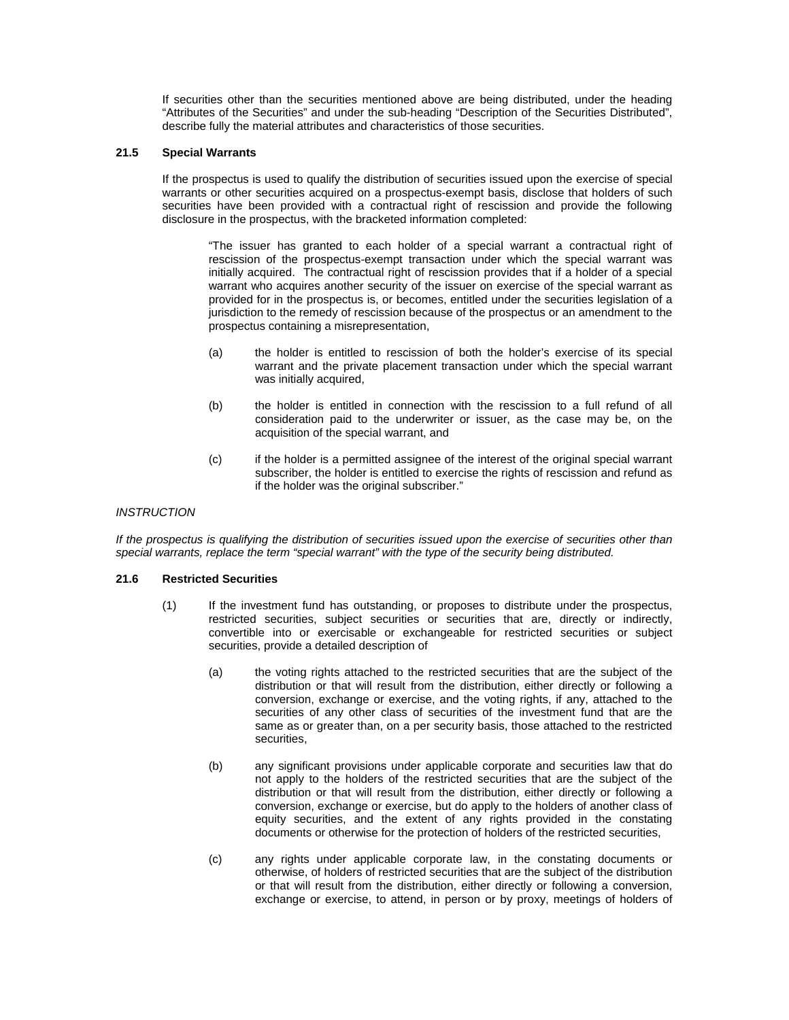If securities other than the securities mentioned above are being distributed, under the heading "Attributes of the Securities" and under the sub-heading "Description of the Securities Distributed", describe fully the material attributes and characteristics of those securities.

# **21.5 Special Warrants**

 If the prospectus is used to qualify the distribution of securities issued upon the exercise of special warrants or other securities acquired on a prospectus-exempt basis, disclose that holders of such securities have been provided with a contractual right of rescission and provide the following disclosure in the prospectus, with the bracketed information completed:

"The issuer has granted to each holder of a special warrant a contractual right of rescission of the prospectus-exempt transaction under which the special warrant was initially acquired. The contractual right of rescission provides that if a holder of a special warrant who acquires another security of the issuer on exercise of the special warrant as provided for in the prospectus is, or becomes, entitled under the securities legislation of a jurisdiction to the remedy of rescission because of the prospectus or an amendment to the prospectus containing a misrepresentation,

- (a) the holder is entitled to rescission of both the holder's exercise of its special warrant and the private placement transaction under which the special warrant was initially acquired,
- (b) the holder is entitled in connection with the rescission to a full refund of all consideration paid to the underwriter or issuer, as the case may be, on the acquisition of the special warrant, and
- (c) if the holder is a permitted assignee of the interest of the original special warrant subscriber, the holder is entitled to exercise the rights of rescission and refund as if the holder was the original subscriber."

# *INSTRUCTION*

*If the prospectus is qualifying the distribution of securities issued upon the exercise of securities other than special warrants, replace the term "special warrant" with the type of the security being distributed.* 

# **21.6 Restricted Securities**

- (1) If the investment fund has outstanding, or proposes to distribute under the prospectus, restricted securities, subject securities or securities that are, directly or indirectly, convertible into or exercisable or exchangeable for restricted securities or subject securities, provide a detailed description of
	- (a) the voting rights attached to the restricted securities that are the subject of the distribution or that will result from the distribution, either directly or following a conversion, exchange or exercise, and the voting rights, if any, attached to the securities of any other class of securities of the investment fund that are the same as or greater than, on a per security basis, those attached to the restricted securities,
	- (b) any significant provisions under applicable corporate and securities law that do not apply to the holders of the restricted securities that are the subject of the distribution or that will result from the distribution, either directly or following a conversion, exchange or exercise, but do apply to the holders of another class of equity securities, and the extent of any rights provided in the constating documents or otherwise for the protection of holders of the restricted securities,
	- (c) any rights under applicable corporate law, in the constating documents or otherwise, of holders of restricted securities that are the subject of the distribution or that will result from the distribution, either directly or following a conversion, exchange or exercise, to attend, in person or by proxy, meetings of holders of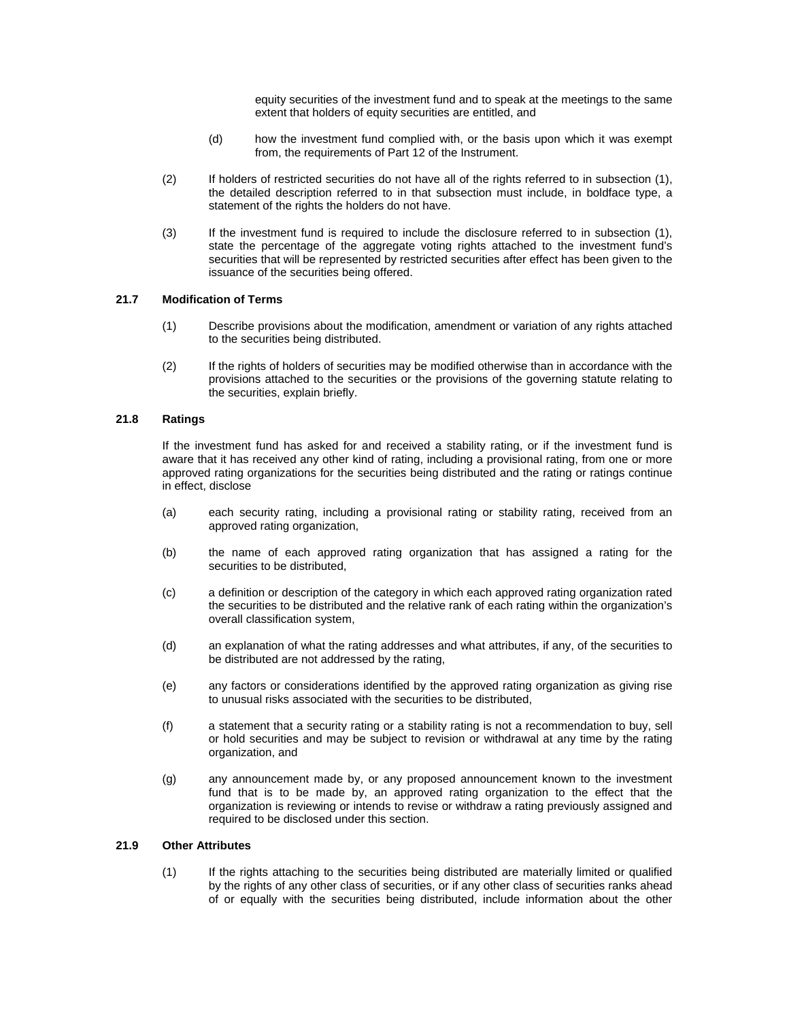equity securities of the investment fund and to speak at the meetings to the same extent that holders of equity securities are entitled, and

- (d) how the investment fund complied with, or the basis upon which it was exempt from, the requirements of Part 12 of the Instrument.
- (2) If holders of restricted securities do not have all of the rights referred to in subsection (1), the detailed description referred to in that subsection must include, in boldface type, a statement of the rights the holders do not have.
- (3) If the investment fund is required to include the disclosure referred to in subsection (1), state the percentage of the aggregate voting rights attached to the investment fund's securities that will be represented by restricted securities after effect has been given to the issuance of the securities being offered.

## **21.7 Modification of Terms**

- (1) Describe provisions about the modification, amendment or variation of any rights attached to the securities being distributed.
- (2) If the rights of holders of securities may be modified otherwise than in accordance with the provisions attached to the securities or the provisions of the governing statute relating to the securities, explain briefly.

# **21.8 Ratings**

 If the investment fund has asked for and received a stability rating, or if the investment fund is aware that it has received any other kind of rating, including a provisional rating, from one or more approved rating organizations for the securities being distributed and the rating or ratings continue in effect, disclose

- (a) each security rating, including a provisional rating or stability rating, received from an approved rating organization,
- (b) the name of each approved rating organization that has assigned a rating for the securities to be distributed,
- (c) a definition or description of the category in which each approved rating organization rated the securities to be distributed and the relative rank of each rating within the organization's overall classification system,
- (d) an explanation of what the rating addresses and what attributes, if any, of the securities to be distributed are not addressed by the rating,
- (e) any factors or considerations identified by the approved rating organization as giving rise to unusual risks associated with the securities to be distributed,
- (f) a statement that a security rating or a stability rating is not a recommendation to buy, sell or hold securities and may be subject to revision or withdrawal at any time by the rating organization, and
- (g) any announcement made by, or any proposed announcement known to the investment fund that is to be made by, an approved rating organization to the effect that the organization is reviewing or intends to revise or withdraw a rating previously assigned and required to be disclosed under this section.

## **21.9 Other Attributes**

(1) If the rights attaching to the securities being distributed are materially limited or qualified by the rights of any other class of securities, or if any other class of securities ranks ahead of or equally with the securities being distributed, include information about the other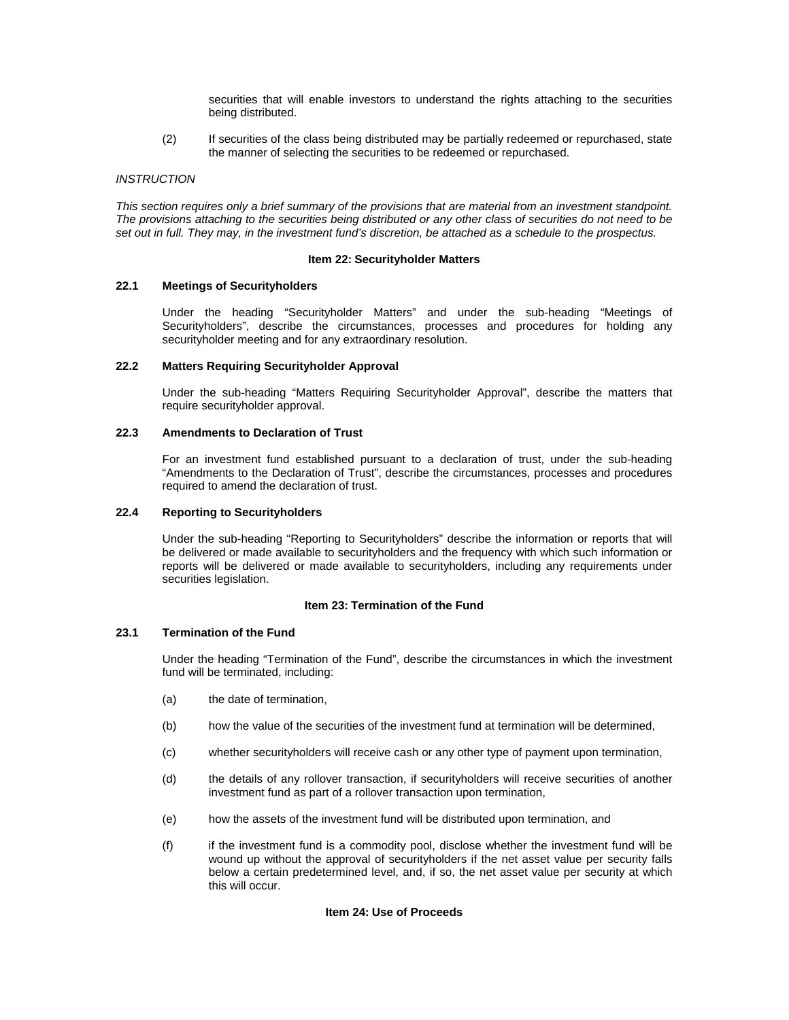securities that will enable investors to understand the rights attaching to the securities being distributed.

(2) If securities of the class being distributed may be partially redeemed or repurchased, state the manner of selecting the securities to be redeemed or repurchased.

#### *INSTRUCTION*

*This section requires only a brief summary of the provisions that are material from an investment standpoint. The provisions attaching to the securities being distributed or any other class of securities do not need to be set out in full. They may, in the investment fund's discretion, be attached as a schedule to the prospectus.* 

#### **Item 22: Securityholder Matters**

## **22.1 Meetings of Securityholders**

Under the heading "Securityholder Matters" and under the sub-heading "Meetings of Securityholders", describe the circumstances, processes and procedures for holding any securityholder meeting and for any extraordinary resolution.

# **22.2 Matters Requiring Securityholder Approval**

Under the sub-heading "Matters Requiring Securityholder Approval", describe the matters that require securityholder approval.

# **22.3 Amendments to Declaration of Trust**

For an investment fund established pursuant to a declaration of trust, under the sub-heading "Amendments to the Declaration of Trust", describe the circumstances, processes and procedures required to amend the declaration of trust.

#### **22.4 Reporting to Securityholders**

Under the sub-heading "Reporting to Securityholders" describe the information or reports that will be delivered or made available to securityholders and the frequency with which such information or reports will be delivered or made available to securityholders, including any requirements under securities legislation.

### **Item 23: Termination of the Fund**

#### **23.1 Termination of the Fund**

 Under the heading "Termination of the Fund", describe the circumstances in which the investment fund will be terminated, including:

- (a) the date of termination,
- (b) how the value of the securities of the investment fund at termination will be determined,
- (c) whether securityholders will receive cash or any other type of payment upon termination,
- (d) the details of any rollover transaction, if securityholders will receive securities of another investment fund as part of a rollover transaction upon termination,
- (e) how the assets of the investment fund will be distributed upon termination, and
- (f) if the investment fund is a commodity pool, disclose whether the investment fund will be wound up without the approval of securityholders if the net asset value per security falls below a certain predetermined level, and, if so, the net asset value per security at which this will occur.

# **Item 24: Use of Proceeds**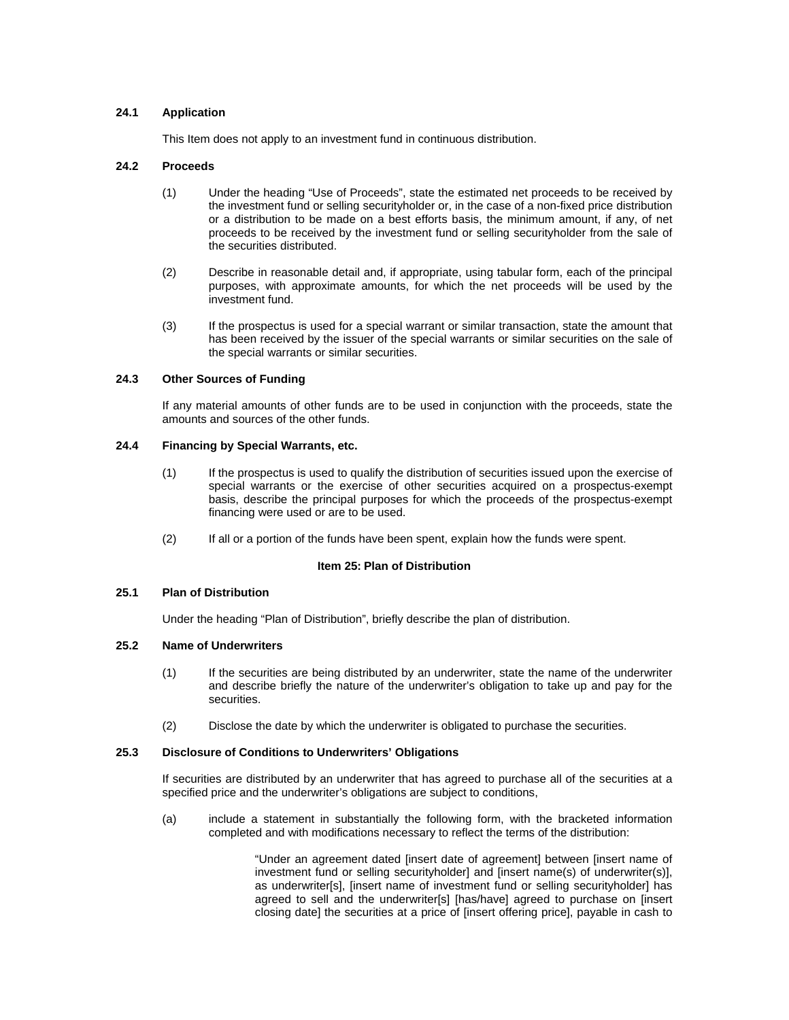# **24.1 Application**

This Item does not apply to an investment fund in continuous distribution.

# **24.2 Proceeds**

- (1) Under the heading "Use of Proceeds", state the estimated net proceeds to be received by the investment fund or selling securityholder or, in the case of a non-fixed price distribution or a distribution to be made on a best efforts basis, the minimum amount, if any, of net proceeds to be received by the investment fund or selling securityholder from the sale of the securities distributed.
- (2) Describe in reasonable detail and, if appropriate, using tabular form, each of the principal purposes, with approximate amounts, for which the net proceeds will be used by the investment fund.
- (3) If the prospectus is used for a special warrant or similar transaction, state the amount that has been received by the issuer of the special warrants or similar securities on the sale of the special warrants or similar securities.

# **24.3 Other Sources of Funding**

 If any material amounts of other funds are to be used in conjunction with the proceeds, state the amounts and sources of the other funds.

# **24.4 Financing by Special Warrants, etc.**

- (1) If the prospectus is used to qualify the distribution of securities issued upon the exercise of special warrants or the exercise of other securities acquired on a prospectus-exempt basis, describe the principal purposes for which the proceeds of the prospectus-exempt financing were used or are to be used.
- (2) If all or a portion of the funds have been spent, explain how the funds were spent.

# **Item 25: Plan of Distribution**

#### **25.1 Plan of Distribution**

Under the heading "Plan of Distribution", briefly describe the plan of distribution.

# **25.2 Name of Underwriters**

- (1) If the securities are being distributed by an underwriter, state the name of the underwriter and describe briefly the nature of the underwriter's obligation to take up and pay for the securities.
- (2) Disclose the date by which the underwriter is obligated to purchase the securities.

# **25.3 Disclosure of Conditions to Underwriters' Obligations**

 If securities are distributed by an underwriter that has agreed to purchase all of the securities at a specified price and the underwriter's obligations are subject to conditions,

(a) include a statement in substantially the following form, with the bracketed information completed and with modifications necessary to reflect the terms of the distribution:

> "Under an agreement dated [insert date of agreement] between [insert name of investment fund or selling securityholder] and [insert name(s) of underwriter(s)], as underwriter[s], [insert name of investment fund or selling securityholder] has agreed to sell and the underwriter[s] [has/have] agreed to purchase on [insert closing date] the securities at a price of [insert offering price], payable in cash to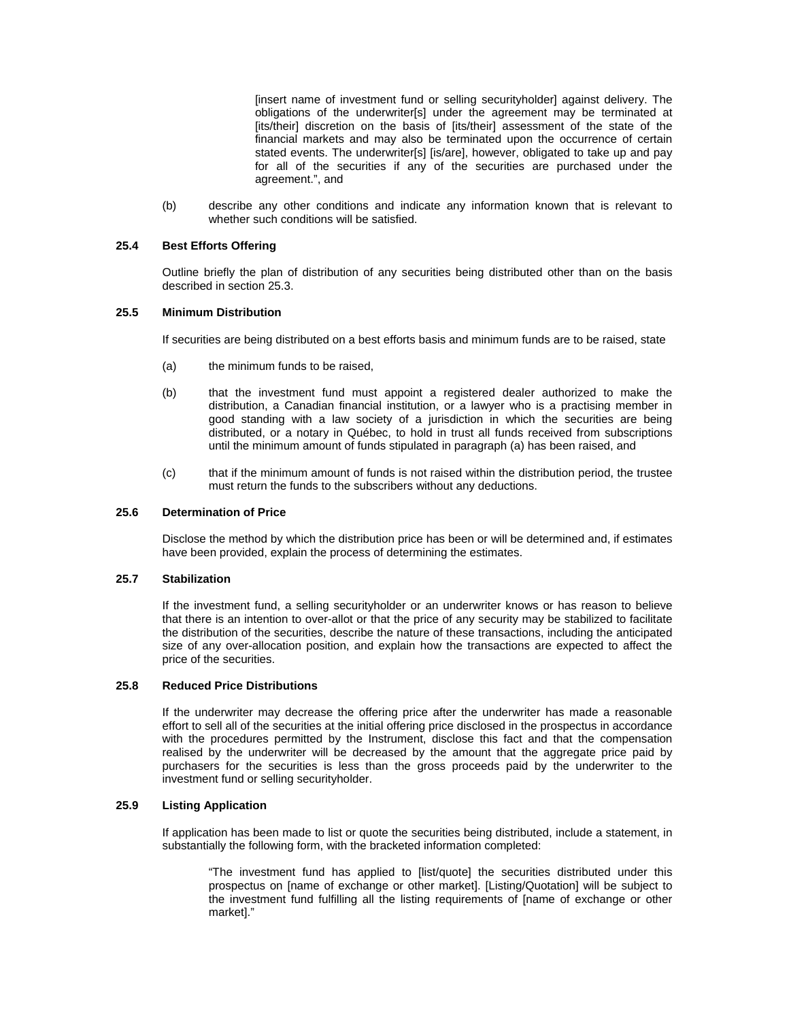[insert name of investment fund or selling securityholder] against delivery. The obligations of the underwriter[s] under the agreement may be terminated at [its/their] discretion on the basis of [its/their] assessment of the state of the financial markets and may also be terminated upon the occurrence of certain stated events. The underwriter[s] [is/are], however, obligated to take up and pay for all of the securities if any of the securities are purchased under the agreement.", and

(b) describe any other conditions and indicate any information known that is relevant to whether such conditions will be satisfied.

## **25.4 Best Efforts Offering**

Outline briefly the plan of distribution of any securities being distributed other than on the basis described in section 25.3.

# **25.5 Minimum Distribution**

If securities are being distributed on a best efforts basis and minimum funds are to be raised, state

- (a) the minimum funds to be raised,
- (b) that the investment fund must appoint a registered dealer authorized to make the distribution, a Canadian financial institution, or a lawyer who is a practising member in good standing with a law society of a jurisdiction in which the securities are being distributed, or a notary in Québec, to hold in trust all funds received from subscriptions until the minimum amount of funds stipulated in paragraph (a) has been raised, and
- (c) that if the minimum amount of funds is not raised within the distribution period, the trustee must return the funds to the subscribers without any deductions.

# **25.6 Determination of Price**

 Disclose the method by which the distribution price has been or will be determined and, if estimates have been provided, explain the process of determining the estimates.

#### **25.7 Stabilization**

 If the investment fund, a selling securityholder or an underwriter knows or has reason to believe that there is an intention to over-allot or that the price of any security may be stabilized to facilitate the distribution of the securities, describe the nature of these transactions, including the anticipated size of any over-allocation position, and explain how the transactions are expected to affect the price of the securities.

#### **25.8 Reduced Price Distributions**

If the underwriter may decrease the offering price after the underwriter has made a reasonable effort to sell all of the securities at the initial offering price disclosed in the prospectus in accordance with the procedures permitted by the Instrument, disclose this fact and that the compensation realised by the underwriter will be decreased by the amount that the aggregate price paid by purchasers for the securities is less than the gross proceeds paid by the underwriter to the investment fund or selling securityholder.

## **25.9 Listing Application**

If application has been made to list or quote the securities being distributed, include a statement, in substantially the following form, with the bracketed information completed:

"The investment fund has applied to [list/quote] the securities distributed under this prospectus on [name of exchange or other market]. [Listing/Quotation] will be subject to the investment fund fulfilling all the listing requirements of [name of exchange or other market]."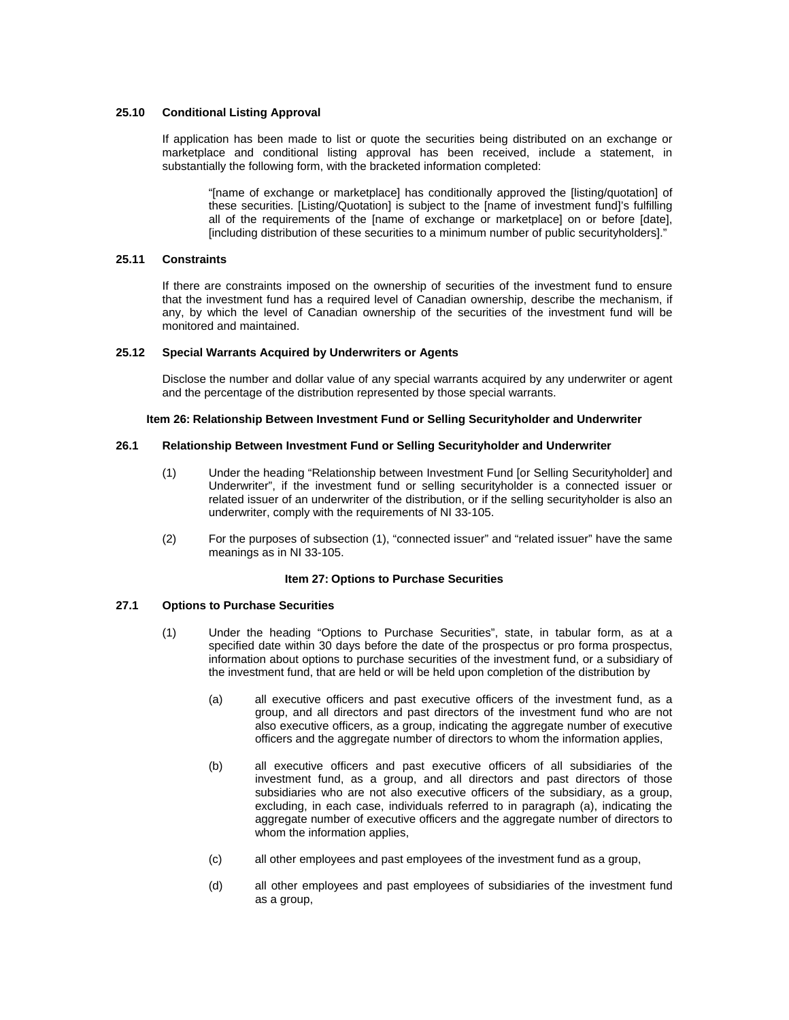## **25.10 Conditional Listing Approval**

If application has been made to list or quote the securities being distributed on an exchange or marketplace and conditional listing approval has been received, include a statement, in substantially the following form, with the bracketed information completed:

"[name of exchange or marketplace] has conditionally approved the [listing/quotation] of these securities. [Listing/Quotation] is subject to the [name of investment fund]'s fulfilling all of the requirements of the [name of exchange or marketplace] on or before [date], [including distribution of these securities to a minimum number of public securityholders]."

## **25.11 Constraints**

If there are constraints imposed on the ownership of securities of the investment fund to ensure that the investment fund has a required level of Canadian ownership, describe the mechanism, if any, by which the level of Canadian ownership of the securities of the investment fund will be monitored and maintained.

## **25.12 Special Warrants Acquired by Underwriters or Agents**

 Disclose the number and dollar value of any special warrants acquired by any underwriter or agent and the percentage of the distribution represented by those special warrants.

# **Item 26: Relationship Between Investment Fund or Selling Securityholder and Underwriter**

# **26.1 Relationship Between Investment Fund or Selling Securityholder and Underwriter**

- (1) Under the heading "Relationship between Investment Fund [or Selling Securityholder] and Underwriter", if the investment fund or selling securityholder is a connected issuer or related issuer of an underwriter of the distribution, or if the selling securityholder is also an underwriter, comply with the requirements of NI 33-105.
- (2) For the purposes of subsection (1), "connected issuer" and "related issuer" have the same meanings as in NI 33-105.

## **Item 27: Options to Purchase Securities**

#### **27.1 Options to Purchase Securities**

- (1) Under the heading "Options to Purchase Securities", state, in tabular form, as at a specified date within 30 days before the date of the prospectus or pro forma prospectus, information about options to purchase securities of the investment fund, or a subsidiary of the investment fund, that are held or will be held upon completion of the distribution by
	- (a) all executive officers and past executive officers of the investment fund, as a group, and all directors and past directors of the investment fund who are not also executive officers, as a group, indicating the aggregate number of executive officers and the aggregate number of directors to whom the information applies,
	- (b) all executive officers and past executive officers of all subsidiaries of the investment fund, as a group, and all directors and past directors of those subsidiaries who are not also executive officers of the subsidiary, as a group, excluding, in each case, individuals referred to in paragraph (a), indicating the aggregate number of executive officers and the aggregate number of directors to whom the information applies,
	- (c) all other employees and past employees of the investment fund as a group,
	- (d) all other employees and past employees of subsidiaries of the investment fund as a group,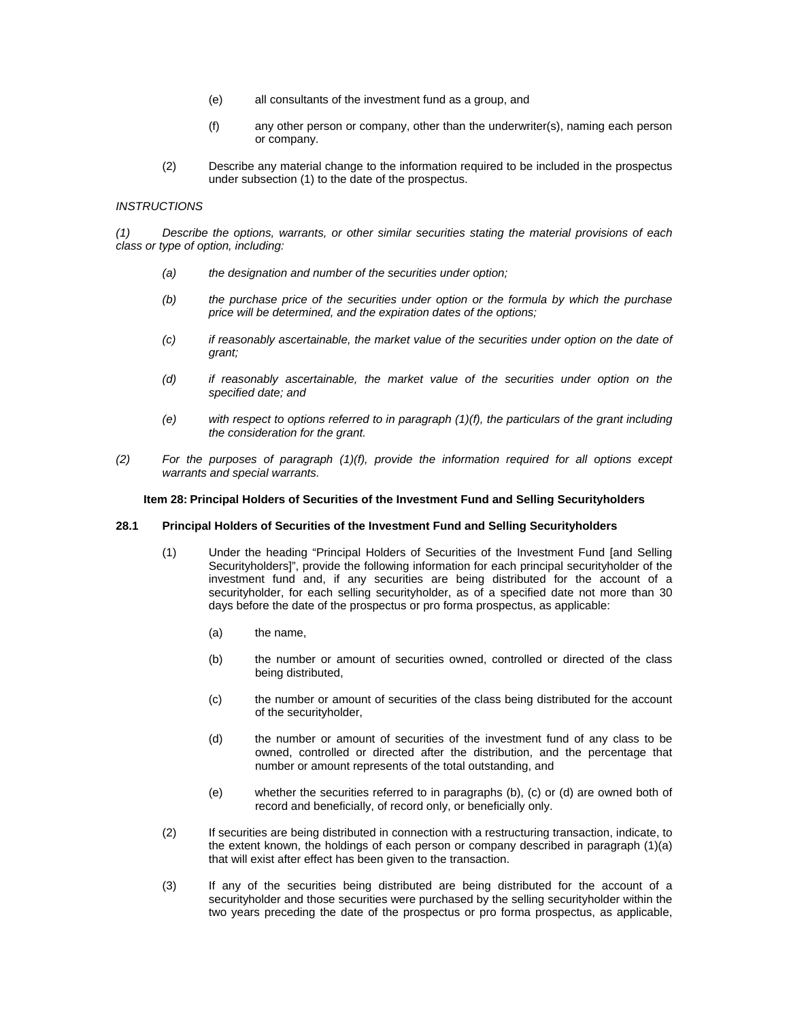- (e) all consultants of the investment fund as a group, and
- (f) any other person or company, other than the underwriter(s), naming each person or company.
- (2) Describe any material change to the information required to be included in the prospectus under subsection (1) to the date of the prospectus.

## *INSTRUCTIONS*

*(1) Describe the options, warrants, or other similar securities stating the material provisions of each class or type of option, including:* 

- *(a) the designation and number of the securities under option;*
- *(b) the purchase price of the securities under option or the formula by which the purchase price will be determined, and the expiration dates of the options;*
- *(c) if reasonably ascertainable, the market value of the securities under option on the date of grant;*
- *(d) if reasonably ascertainable, the market value of the securities under option on the specified date; and*
- *(e) with respect to options referred to in paragraph (1)(f), the particulars of the grant including the consideration for the grant.*
- *(2) For the purposes of paragraph (1)(f), provide the information required for all options except warrants and special warrants.*

#### **Item 28: Principal Holders of Securities of the Investment Fund and Selling Securityholders**

#### **28.1 Principal Holders of Securities of the Investment Fund and Selling Securityholders**

- (1) Under the heading "Principal Holders of Securities of the Investment Fund [and Selling Securityholders]", provide the following information for each principal securityholder of the investment fund and, if any securities are being distributed for the account of a securityholder, for each selling securityholder, as of a specified date not more than 30 days before the date of the prospectus or pro forma prospectus, as applicable:
	- (a) the name,
	- (b) the number or amount of securities owned, controlled or directed of the class being distributed,
	- (c) the number or amount of securities of the class being distributed for the account of the securityholder,
	- (d) the number or amount of securities of the investment fund of any class to be owned, controlled or directed after the distribution, and the percentage that number or amount represents of the total outstanding, and
	- (e) whether the securities referred to in paragraphs (b), (c) or (d) are owned both of record and beneficially, of record only, or beneficially only.
- (2) If securities are being distributed in connection with a restructuring transaction, indicate, to the extent known, the holdings of each person or company described in paragraph (1)(a) that will exist after effect has been given to the transaction.
- (3) If any of the securities being distributed are being distributed for the account of a securityholder and those securities were purchased by the selling securityholder within the two years preceding the date of the prospectus or pro forma prospectus, as applicable,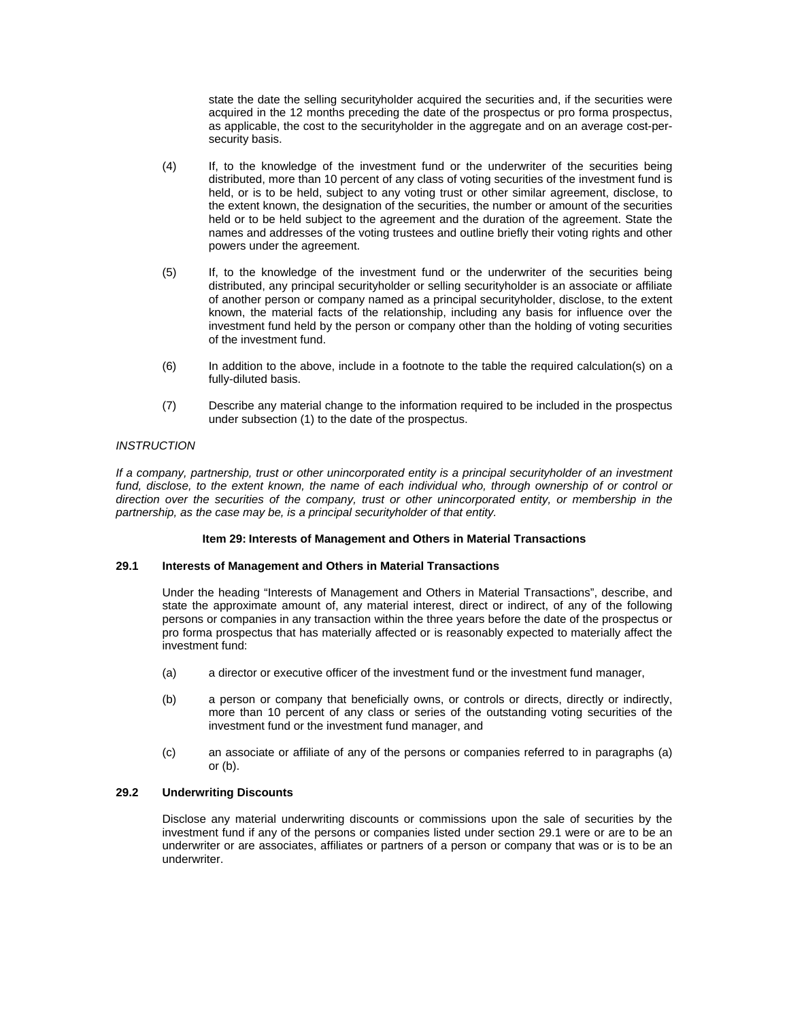state the date the selling securityholder acquired the securities and, if the securities were acquired in the 12 months preceding the date of the prospectus or pro forma prospectus, as applicable, the cost to the securityholder in the aggregate and on an average cost-persecurity basis.

- (4) If, to the knowledge of the investment fund or the underwriter of the securities being distributed, more than 10 percent of any class of voting securities of the investment fund is held, or is to be held, subject to any voting trust or other similar agreement, disclose, to the extent known, the designation of the securities, the number or amount of the securities held or to be held subject to the agreement and the duration of the agreement. State the names and addresses of the voting trustees and outline briefly their voting rights and other powers under the agreement.
- (5) If, to the knowledge of the investment fund or the underwriter of the securities being distributed, any principal securityholder or selling securityholder is an associate or affiliate of another person or company named as a principal securityholder, disclose, to the extent known, the material facts of the relationship, including any basis for influence over the investment fund held by the person or company other than the holding of voting securities of the investment fund.
- (6) In addition to the above, include in a footnote to the table the required calculation(s) on a fully-diluted basis.
- (7) Describe any material change to the information required to be included in the prospectus under subsection (1) to the date of the prospectus.

# *INSTRUCTION*

*If a company, partnership, trust or other unincorporated entity is a principal securityholder of an investment fund, disclose, to the extent known, the name of each individual who, through ownership of or control or direction over the securities of the company, trust or other unincorporated entity, or membership in the partnership, as the case may be, is a principal securityholder of that entity.* 

#### **Item 29: Interests of Management and Others in Material Transactions**

# **29.1 Interests of Management and Others in Material Transactions**

Under the heading "Interests of Management and Others in Material Transactions", describe, and state the approximate amount of, any material interest, direct or indirect, of any of the following persons or companies in any transaction within the three years before the date of the prospectus or pro forma prospectus that has materially affected or is reasonably expected to materially affect the investment fund:

- (a) a director or executive officer of the investment fund or the investment fund manager,
- (b) a person or company that beneficially owns, or controls or directs, directly or indirectly, more than 10 percent of any class or series of the outstanding voting securities of the investment fund or the investment fund manager, and
- (c) an associate or affiliate of any of the persons or companies referred to in paragraphs (a) or (b).

# **29.2 Underwriting Discounts**

Disclose any material underwriting discounts or commissions upon the sale of securities by the investment fund if any of the persons or companies listed under section 29.1 were or are to be an underwriter or are associates, affiliates or partners of a person or company that was or is to be an underwriter.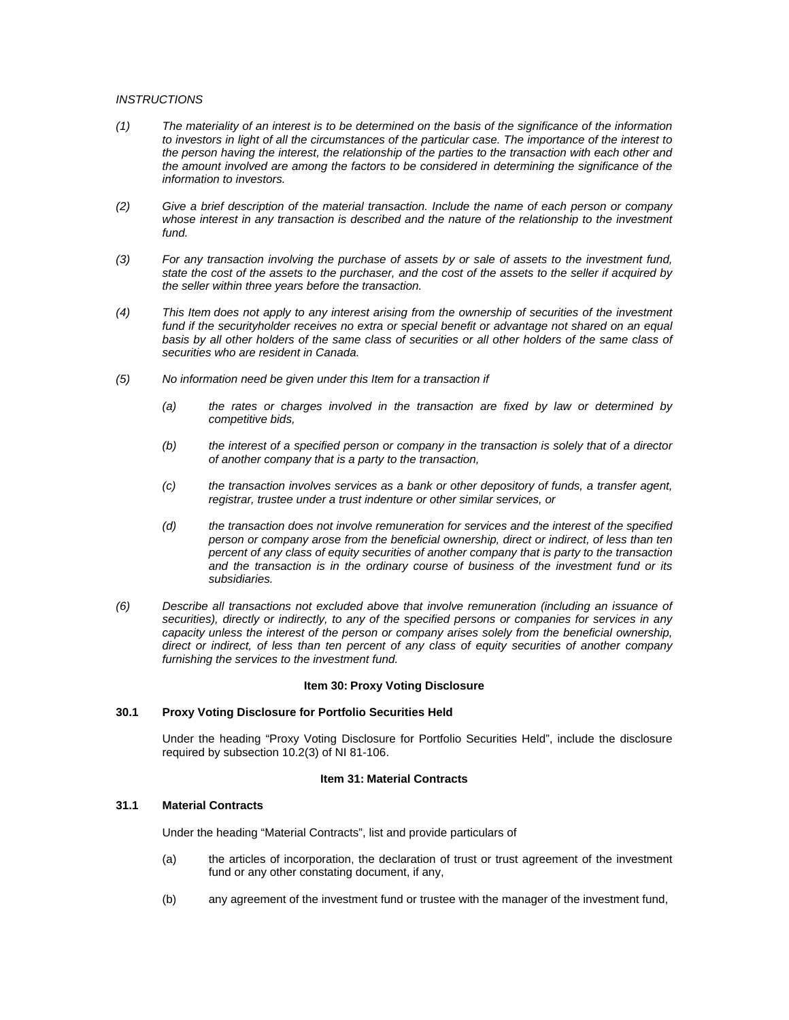## *INSTRUCTIONS*

- *(1) The materiality of an interest is to be determined on the basis of the significance of the information to investors in light of all the circumstances of the particular case. The importance of the interest to the person having the interest, the relationship of the parties to the transaction with each other and the amount involved are among the factors to be considered in determining the significance of the information to investors.*
- *(2) Give a brief description of the material transaction. Include the name of each person or company*  whose interest in any transaction is described and the nature of the relationship to the investment *fund.*
- *(3) For any transaction involving the purchase of assets by or sale of assets to the investment fund, state the cost of the assets to the purchaser, and the cost of the assets to the seller if acquired by the seller within three years before the transaction.*
- *(4) This Item does not apply to any interest arising from the ownership of securities of the investment*  fund if the securityholder receives no extra or special benefit or advantage not shared on an equal *basis by all other holders of the same class of securities or all other holders of the same class of securities who are resident in Canada.*
- *(5) No information need be given under this Item for a transaction if* 
	- *(a) the rates or charges involved in the transaction are fixed by law or determined by competitive bids,*
	- *(b) the interest of a specified person or company in the transaction is solely that of a director of another company that is a party to the transaction,*
	- *(c) the transaction involves services as a bank or other depository of funds, a transfer agent, registrar, trustee under a trust indenture or other similar services, or*
	- *(d) the transaction does not involve remuneration for services and the interest of the specified person or company arose from the beneficial ownership, direct or indirect, of less than ten percent of any class of equity securities of another company that is party to the transaction and the transaction is in the ordinary course of business of the investment fund or its subsidiaries.*
- *(6) Describe all transactions not excluded above that involve remuneration (including an issuance of securities), directly or indirectly, to any of the specified persons or companies for services in any capacity unless the interest of the person or company arises solely from the beneficial ownership, direct or indirect, of less than ten percent of any class of equity securities of another company furnishing the services to the investment fund.*

#### **Item 30: Proxy Voting Disclosure**

# **30.1 Proxy Voting Disclosure for Portfolio Securities Held**

Under the heading "Proxy Voting Disclosure for Portfolio Securities Held", include the disclosure required by subsection 10.2(3) of NI 81-106.

# **Item 31: Material Contracts**

#### **31.1 Material Contracts**

Under the heading "Material Contracts", list and provide particulars of

- (a) the articles of incorporation, the declaration of trust or trust agreement of the investment fund or any other constating document, if any,
- (b) any agreement of the investment fund or trustee with the manager of the investment fund,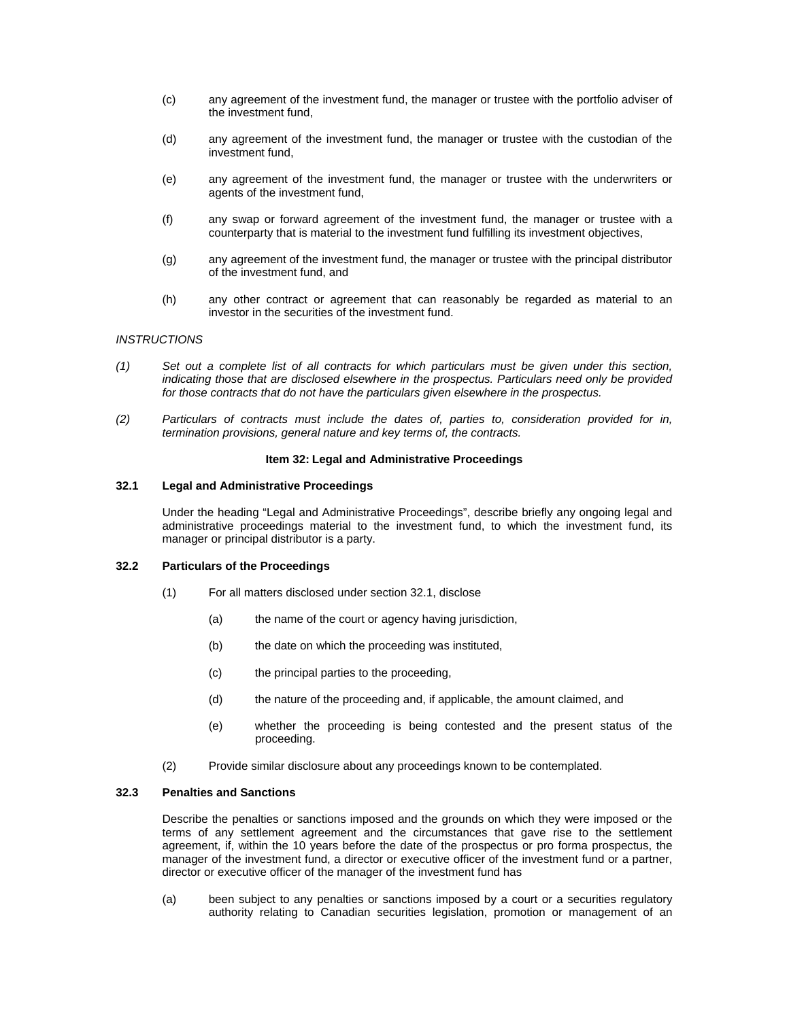- (c) any agreement of the investment fund, the manager or trustee with the portfolio adviser of the investment fund,
- (d) any agreement of the investment fund, the manager or trustee with the custodian of the investment fund,
- (e) any agreement of the investment fund, the manager or trustee with the underwriters or agents of the investment fund,
- (f) any swap or forward agreement of the investment fund, the manager or trustee with a counterparty that is material to the investment fund fulfilling its investment objectives,
- (g) any agreement of the investment fund, the manager or trustee with the principal distributor of the investment fund, and
- (h) any other contract or agreement that can reasonably be regarded as material to an investor in the securities of the investment fund.

## *INSTRUCTIONS*

- *(1) Set out a complete list of all contracts for which particulars must be given under this section, indicating those that are disclosed elsewhere in the prospectus. Particulars need only be provided for those contracts that do not have the particulars given elsewhere in the prospectus.*
- *(2) Particulars of contracts must include the dates of, parties to, consideration provided for in, termination provisions, general nature and key terms of, the contracts.*

## **Item 32: Legal and Administrative Proceedings**

#### **32.1 Legal and Administrative Proceedings**

 Under the heading "Legal and Administrative Proceedings", describe briefly any ongoing legal and administrative proceedings material to the investment fund, to which the investment fund, its manager or principal distributor is a party.

## **32.2 Particulars of the Proceedings**

- (1) For all matters disclosed under section 32.1, disclose
	- (a) the name of the court or agency having jurisdiction,
	- (b) the date on which the proceeding was instituted,
	- (c) the principal parties to the proceeding,
	- (d) the nature of the proceeding and, if applicable, the amount claimed, and
	- (e) whether the proceeding is being contested and the present status of the proceeding.
- (2) Provide similar disclosure about any proceedings known to be contemplated.

## **32.3 Penalties and Sanctions**

Describe the penalties or sanctions imposed and the grounds on which they were imposed or the terms of any settlement agreement and the circumstances that gave rise to the settlement agreement, if, within the 10 years before the date of the prospectus or pro forma prospectus, the manager of the investment fund, a director or executive officer of the investment fund or a partner, director or executive officer of the manager of the investment fund has

(a) been subject to any penalties or sanctions imposed by a court or a securities regulatory authority relating to Canadian securities legislation, promotion or management of an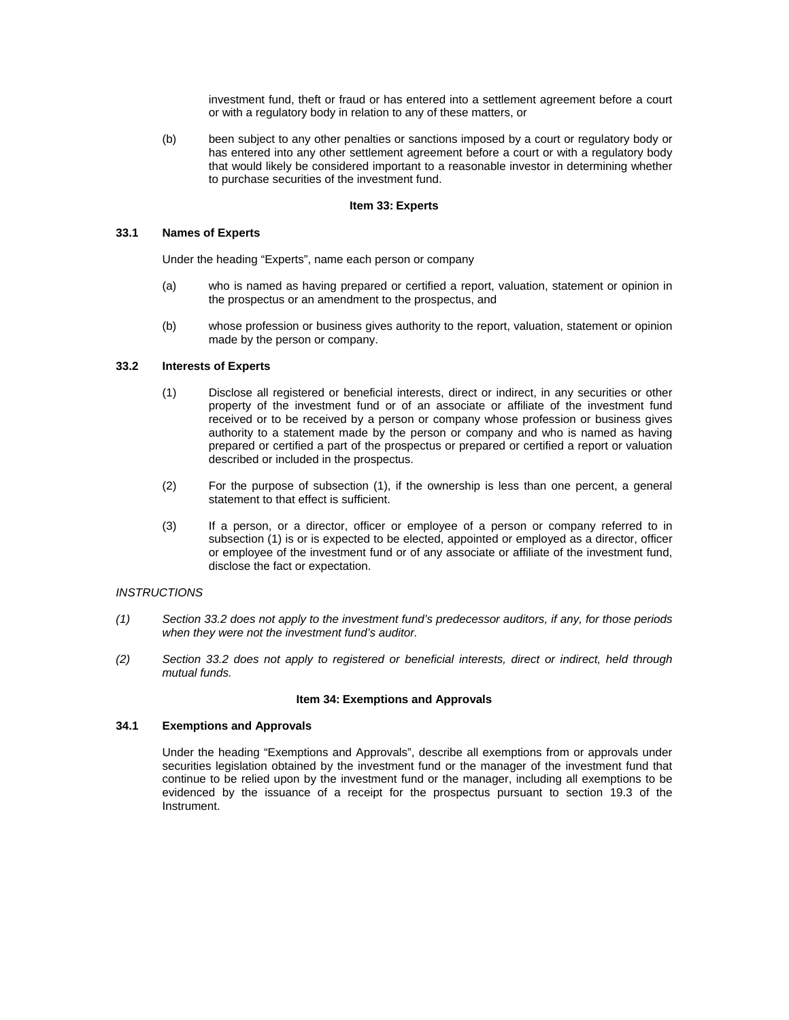investment fund, theft or fraud or has entered into a settlement agreement before a court or with a regulatory body in relation to any of these matters, or

(b) been subject to any other penalties or sanctions imposed by a court or regulatory body or has entered into any other settlement agreement before a court or with a regulatory body that would likely be considered important to a reasonable investor in determining whether to purchase securities of the investment fund.

## **Item 33: Experts**

## **33.1 Names of Experts**

Under the heading "Experts", name each person or company

- (a) who is named as having prepared or certified a report, valuation, statement or opinion in the prospectus or an amendment to the prospectus, and
- (b) whose profession or business gives authority to the report, valuation, statement or opinion made by the person or company.

## **33.2 Interests of Experts**

- (1) Disclose all registered or beneficial interests, direct or indirect, in any securities or other property of the investment fund or of an associate or affiliate of the investment fund received or to be received by a person or company whose profession or business gives authority to a statement made by the person or company and who is named as having prepared or certified a part of the prospectus or prepared or certified a report or valuation described or included in the prospectus.
- (2) For the purpose of subsection (1), if the ownership is less than one percent, a general statement to that effect is sufficient.
- (3) If a person, or a director, officer or employee of a person or company referred to in subsection (1) is or is expected to be elected, appointed or employed as a director, officer or employee of the investment fund or of any associate or affiliate of the investment fund, disclose the fact or expectation.

#### *INSTRUCTIONS*

- *(1) Section 33.2 does not apply to the investment fund's predecessor auditors, if any, for those periods when they were not the investment fund's auditor.*
- *(2) Section 33.2 does not apply to registered or beneficial interests, direct or indirect, held through mutual funds.*

#### **Item 34: Exemptions and Approvals**

# **34.1 Exemptions and Approvals**

Under the heading "Exemptions and Approvals", describe all exemptions from or approvals under securities legislation obtained by the investment fund or the manager of the investment fund that continue to be relied upon by the investment fund or the manager, including all exemptions to be evidenced by the issuance of a receipt for the prospectus pursuant to section 19.3 of the Instrument.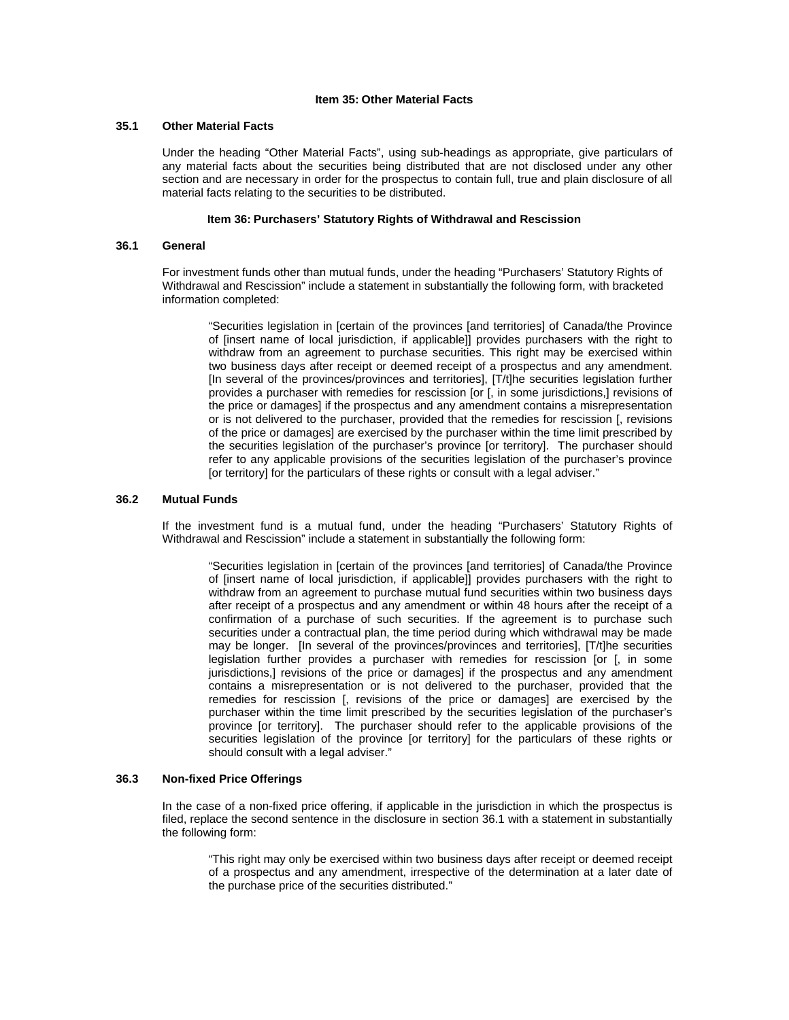# **Item 35: Other Material Facts**

## **35.1 Other Material Facts**

Under the heading "Other Material Facts", using sub-headings as appropriate, give particulars of any material facts about the securities being distributed that are not disclosed under any other section and are necessary in order for the prospectus to contain full, true and plain disclosure of all material facts relating to the securities to be distributed.

# **Item 36: Purchasers' Statutory Rights of Withdrawal and Rescission**

## **36.1 General**

For investment funds other than mutual funds, under the heading "Purchasers' Statutory Rights of Withdrawal and Rescission" include a statement in substantially the following form, with bracketed information completed:

"Securities legislation in [certain of the provinces [and territories] of Canada/the Province of [insert name of local jurisdiction, if applicable]] provides purchasers with the right to withdraw from an agreement to purchase securities. This right may be exercised within two business days after receipt or deemed receipt of a prospectus and any amendment. [In several of the provinces/provinces and territories], [T/t]he securities legislation further provides a purchaser with remedies for rescission [or [, in some jurisdictions,] revisions of the price or damages] if the prospectus and any amendment contains a misrepresentation or is not delivered to the purchaser, provided that the remedies for rescission [, revisions of the price or damages] are exercised by the purchaser within the time limit prescribed by the securities legislation of the purchaser's province [or territory]. The purchaser should refer to any applicable provisions of the securities legislation of the purchaser's province [or territory] for the particulars of these rights or consult with a legal adviser."

## **36.2 Mutual Funds**

If the investment fund is a mutual fund, under the heading "Purchasers' Statutory Rights of Withdrawal and Rescission" include a statement in substantially the following form:

"Securities legislation in [certain of the provinces [and territories] of Canada/the Province of [insert name of local jurisdiction, if applicable]] provides purchasers with the right to withdraw from an agreement to purchase mutual fund securities within two business days after receipt of a prospectus and any amendment or within 48 hours after the receipt of a confirmation of a purchase of such securities. If the agreement is to purchase such securities under a contractual plan, the time period during which withdrawal may be made may be longer. [In several of the provinces/provinces and territories], [T/t]he securities legislation further provides a purchaser with remedies for rescission [or [, in some jurisdictions,] revisions of the price or damages] if the prospectus and any amendment contains a misrepresentation or is not delivered to the purchaser, provided that the remedies for rescission [, revisions of the price or damages] are exercised by the purchaser within the time limit prescribed by the securities legislation of the purchaser's province [or territory]. The purchaser should refer to the applicable provisions of the securities legislation of the province [or territory] for the particulars of these rights or should consult with a legal adviser."

# **36.3 Non-fixed Price Offerings**

In the case of a non-fixed price offering, if applicable in the jurisdiction in which the prospectus is filed, replace the second sentence in the disclosure in section 36.1 with a statement in substantially the following form:

"This right may only be exercised within two business days after receipt or deemed receipt of a prospectus and any amendment, irrespective of the determination at a later date of the purchase price of the securities distributed."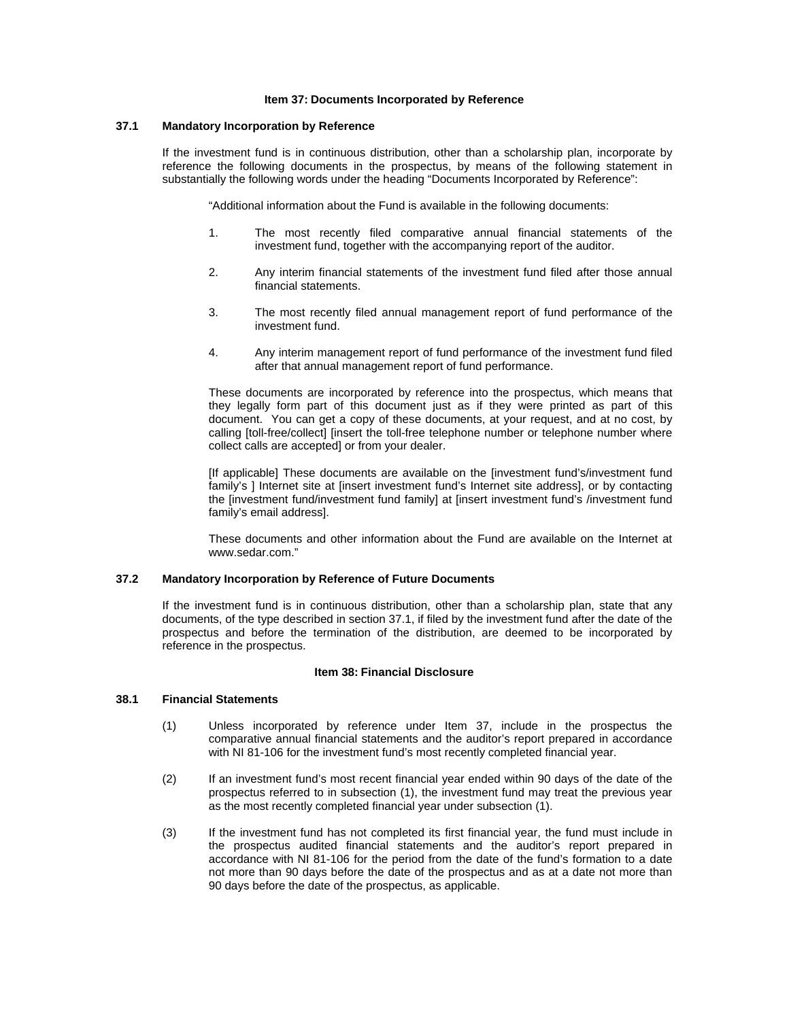### **Item 37: Documents Incorporated by Reference**

## **37.1 Mandatory Incorporation by Reference**

 If the investment fund is in continuous distribution, other than a scholarship plan, incorporate by reference the following documents in the prospectus, by means of the following statement in substantially the following words under the heading "Documents Incorporated by Reference":

"Additional information about the Fund is available in the following documents:

- 1. The most recently filed comparative annual financial statements of the investment fund, together with the accompanying report of the auditor.
- 2. Any interim financial statements of the investment fund filed after those annual financial statements.
- 3. The most recently filed annual management report of fund performance of the investment fund.
- 4. Any interim management report of fund performance of the investment fund filed after that annual management report of fund performance.

These documents are incorporated by reference into the prospectus, which means that they legally form part of this document just as if they were printed as part of this document. You can get a copy of these documents, at your request, and at no cost, by calling [toll-free/collect] [insert the toll-free telephone number or telephone number where collect calls are accepted] or from your dealer.

[If applicable] These documents are available on the [investment fund's/investment fund family's ] Internet site at [insert investment fund's Internet site address], or by contacting the [investment fund/investment fund family] at [insert investment fund's /investment fund family's email address].

These documents and other information about the Fund are available on the Internet at www.sedar.com."

#### **37.2 Mandatory Incorporation by Reference of Future Documents**

If the investment fund is in continuous distribution, other than a scholarship plan, state that any documents, of the type described in section 37.1, if filed by the investment fund after the date of the prospectus and before the termination of the distribution, are deemed to be incorporated by reference in the prospectus.

# **Item 38: Financial Disclosure**

# **38.1 Financial Statements**

- (1) Unless incorporated by reference under Item 37, include in the prospectus the comparative annual financial statements and the auditor's report prepared in accordance with NI 81-106 for the investment fund's most recently completed financial year.
- (2) If an investment fund's most recent financial year ended within 90 days of the date of the prospectus referred to in subsection (1), the investment fund may treat the previous year as the most recently completed financial year under subsection (1).
- (3) If the investment fund has not completed its first financial year, the fund must include in the prospectus audited financial statements and the auditor's report prepared in accordance with NI 81-106 for the period from the date of the fund's formation to a date not more than 90 days before the date of the prospectus and as at a date not more than 90 days before the date of the prospectus, as applicable.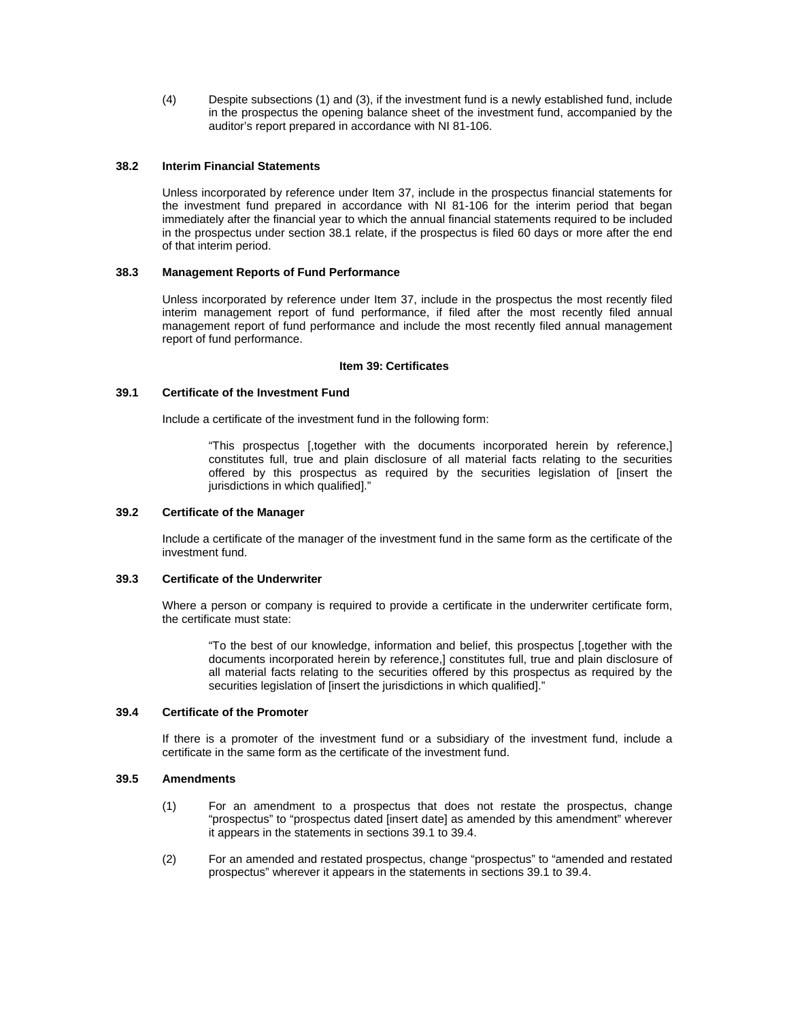(4) Despite subsections (1) and (3), if the investment fund is a newly established fund, include in the prospectus the opening balance sheet of the investment fund, accompanied by the auditor's report prepared in accordance with NI 81-106.

## **38.2 Interim Financial Statements**

Unless incorporated by reference under Item 37, include in the prospectus financial statements for the investment fund prepared in accordance with NI 81-106 for the interim period that began immediately after the financial year to which the annual financial statements required to be included in the prospectus under section 38.1 relate, if the prospectus is filed 60 days or more after the end of that interim period.

## **38.3 Management Reports of Fund Performance**

Unless incorporated by reference under Item 37, include in the prospectus the most recently filed interim management report of fund performance, if filed after the most recently filed annual management report of fund performance and include the most recently filed annual management report of fund performance.

#### **Item 39: Certificates**

#### **39.1 Certificate of the Investment Fund**

Include a certificate of the investment fund in the following form:

"This prospectus [,together with the documents incorporated herein by reference,] constitutes full, true and plain disclosure of all material facts relating to the securities offered by this prospectus as required by the securities legislation of [insert the jurisdictions in which qualified]."

#### **39.2 Certificate of the Manager**

 Include a certificate of the manager of the investment fund in the same form as the certificate of the investment fund.

#### **39.3 Certificate of the Underwriter**

Where a person or company is required to provide a certificate in the underwriter certificate form, the certificate must state:

"To the best of our knowledge, information and belief, this prospectus [,together with the documents incorporated herein by reference,] constitutes full, true and plain disclosure of all material facts relating to the securities offered by this prospectus as required by the securities legislation of [insert the jurisdictions in which qualified]."

#### **39.4 Certificate of the Promoter**

If there is a promoter of the investment fund or a subsidiary of the investment fund, include a certificate in the same form as the certificate of the investment fund.

#### **39.5 Amendments**

- (1) For an amendment to a prospectus that does not restate the prospectus, change "prospectus" to "prospectus dated [insert date] as amended by this amendment" wherever it appears in the statements in sections 39.1 to 39.4.
- (2) For an amended and restated prospectus, change "prospectus" to "amended and restated prospectus" wherever it appears in the statements in sections 39.1 to 39.4.